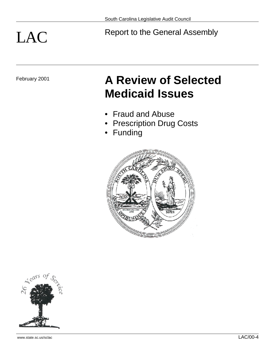# LAC Report to the General Assembly

# February 2001 **A Review of Selected Medicaid Issues**

- Fraud and Abuse
- Prescription Drug Costs
- Funding



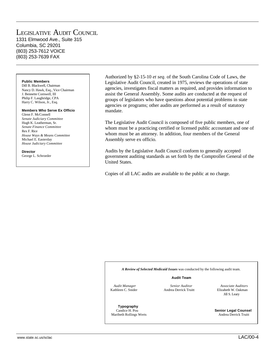# LEGISLATIVE AUDIT COUNCIL 1331 Elmwood Ave., Suite 315 Columbia, SC 29201 (803) 253-7612 VOICE (803) 253-7639 FAX

#### **Public Members**

Dill B. Blackwell, Chairman Nancy D. Hawk, Esq., Vice Chairman J. Bennette Cornwell, III Philip F. Laughridge, CPA Harry C. Wilson, Jr., Esq.

#### **Members Who Serve Ex Officio**

Glenn F. McConnell *Senate Judiciary Committee* Hugh K. Leatherman, Sr. *Senate Finance Committee* Rex F. Rice *House Ways & Means Committee* Michael E. Easterday *House Judiciary Committee*

**Director** George L. Schroeder

Authorized by §2-15-10 *et seq.* of the South Carolina Code of Laws, the Legislative Audit Council, created in 1975, reviews the operations of state agencies, investigates fiscal matters as required, and provides information to assist the General Assembly. Some audits are conducted at the request of groups of legislators who have questions about potential problems in state agencies or programs; other audits are performed as a result of statutory mandate.

The Legislative Audit Council is composed of five public members, one of whom must be a practicing certified or licensed public accountant and one of whom must be an attorney. In addition, four members of the General Assembly serve ex officio.

Audits by the Legislative Audit Council conform to generally accepted government auditing standards as set forth by the Comptroller General of the United States.

Copies of all LAC audits are available to the public at no charge.

*A Review of Selected Medicaid Issues* was conducted by the following audit team.

#### **Audit Team**

Andrea Derrick Truitt

 *Audit Manager Senior Auditor Associate Auditors* Jill S. Leary

 **Typography** Maribeth Rollings Werts **Andrea Derrick Truitt** 

Candice H. Pou **Senior Legal Counsel**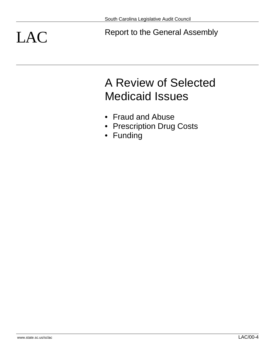LAC Report to the General Assembly

# A Review of Selected Medicaid Issues

- Fraud and Abuse
- Prescription Drug Costs
- Funding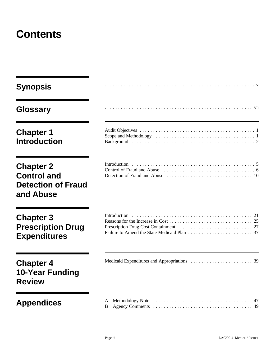# **Contents**

| <b>Synopsis</b>                                                                  |         |
|----------------------------------------------------------------------------------|---------|
| <b>Glossary</b>                                                                  |         |
| <b>Chapter 1</b><br><b>Introduction</b>                                          |         |
| <b>Chapter 2</b><br><b>Control and</b><br><b>Detection of Fraud</b><br>and Abuse |         |
| <b>Chapter 3</b><br><b>Prescription Drug</b><br><b>Expenditures</b>              |         |
| <b>Chapter 4</b><br><b>10-Year Funding</b><br><b>Review</b>                      |         |
| <b>Appendices</b>                                                                | В<br>49 |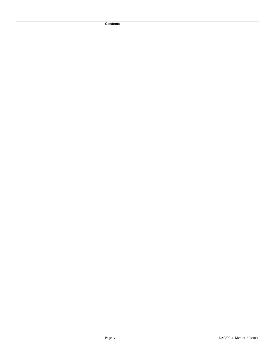**Contents**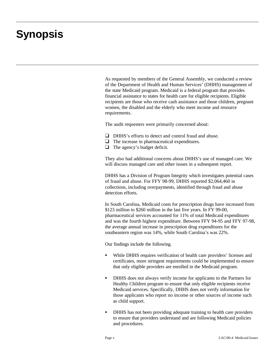# **Synopsis**

As requested by members of the General Assembly, we conducted a review of the Department of Health and Human Services' (DHHS) management of the state Medicaid program. Medicaid is a federal program that provides financial assistance to states for health care for eligible recipients. Eligible recipients are those who receive cash assistance and those children, pregnant women, the disabled and the elderly who meet income and resource requirements.

The audit requesters were primarily concerned about:

- $\Box$  DHHS's efforts to detect and control fraud and abuse.
- $\Box$  The increase in pharmaceutical expenditures.
- $\Box$  The agency's budget deficit.

They also had additional concerns about DHHS's use of managed care. We will discuss managed care and other issues in a subsequent report.

DHHS has a Division of Program Integrity which investigates potential cases of fraud and abuse. For FFY 98-99, DHHS reported \$2,064,460 in collections, including overpayments, identified through fraud and abuse detection efforts.

In South Carolina, Medicaid costs for prescription drugs have increased from \$123 million to \$260 million in the last five years. In FY 99-00, pharmaceutical services accounted for 11% of total Medicaid expenditures and was the fourth highest expenditure. Between FFY 94-95 and FFY 97-98, the average annual increase in prescription drug expenditures for the southeastern region was 14%, while South Carolina's was 22%.

Our findings include the following.

- While DHHS requires verification of health care providers' licenses and certificates, more stringent requirements could be implemented to ensure that only eligible providers are enrolled in the Medicaid program.
- DHHS does not always verify income for applicants to the Partners for Healthy Children program to ensure that only eligible recipients receive Medicaid services. Specifically, DHHS does not verify information for those applicants who report no income or other sources of income such as child support.
- DHHS has not been providing adequate training to health care providers to ensure that providers understand and are following Medicaid policies and procedures.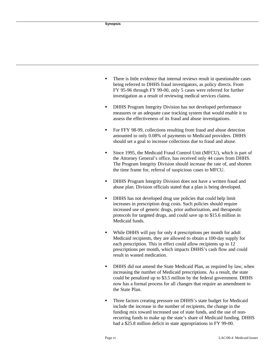- There is little evidence that internal reviews result in questionable cases being referred to DHHS fraud investigators, as policy directs. From FY 95-96 through FY 99-00, only 5 cases were referred for further investigation as a result of reviewing medical services claims.
- DHHS Program Integrity Division has not developed performance measures or an adequate case tracking system that would enable it to assess the effectiveness of its fraud and abuse investigations.
- For FFY 98-99, collections resulting from fraud and abuse detection amounted to only 0.08% of payments to Medicaid providers. DHHS should set a goal to increase collections due to fraud and abuse.
- Since 1995, the Medicaid Fraud Control Unit (MFCU), which is part of the Attorney General's office, has received only 44 cases from DHHS. The Program Integrity Division should increase the rate of, and shorten the time frame for, referral of suspicious cases to MFCU.
- DHHS Program Integrity Division does not have a written fraud and abuse plan. Division officials stated that a plan is being developed.
- DHHS has not developed drug use policies that could help limit increases in prescription drug costs. Such policies should require increased use of generic drugs, prior authorization, and therapeutic protocols for targeted drugs, and could save up to \$15.6 million in Medicaid funds.
- While DHHS will pay for only 4 prescriptions per month for adult Medicaid recipients, they are allowed to obtain a 100-day supply for each prescription. This in effect could allow recipients up to 12 prescriptions per month, which impacts DHHS's cash flow and could result in wasted medication.
- DHHS did not amend the State Medicaid Plan, as required by law, when increasing the number of Medicaid prescriptions. As a result, the state could be penalized up to \$3.5 million by the federal government. DHHS now has a formal process for all changes that require an amendment to the State Plan.
- Three factors creating pressure on DHHS's state budget for Medicaid include the increase in the number of recipients, the change in the funding mix toward increased use of state funds, and the use of nonrecurring funds to make up the state's share of Medicaid funding. DHHS had a \$25.8 million deficit in state appropriations in FY 99-00.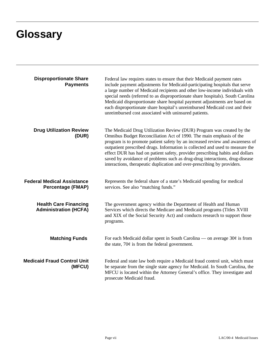# **Glossary**

| <b>Disproportionate Share</b><br><b>Payments</b>              | Federal law requires states to ensure that their Medicaid payment rates<br>include payment adjustments for Medicaid-participating hospitals that serve<br>a large number of Medicaid recipients and other low-income individuals with<br>special needs (referred to as disproportionate share hospitals). South Carolina<br>Medicaid disproportionate share hospital payment adjustments are based on<br>each disproportionate share hospital's unreimbursed Medicaid cost and their<br>unreimbursed cost associated with uninsured patients.             |
|---------------------------------------------------------------|-----------------------------------------------------------------------------------------------------------------------------------------------------------------------------------------------------------------------------------------------------------------------------------------------------------------------------------------------------------------------------------------------------------------------------------------------------------------------------------------------------------------------------------------------------------|
| <b>Drug Utilization Review</b><br>(DUR)                       | The Medicaid Drug Utilization Review (DUR) Program was created by the<br>Omnibus Budget Reconciliation Act of 1990. The main emphasis of the<br>program is to promote patient safety by an increased review and awareness of<br>outpatient prescribed drugs. Information is collected and used to measure the<br>effect DUR has had on patient safety, provider prescribing habits and dollars<br>saved by avoidance of problems such as drug-drug interactions, drug-disease<br>interactions, therapeutic duplication and over-prescribing by providers. |
| <b>Federal Medical Assistance</b><br><b>Percentage (FMAP)</b> | Represents the federal share of a state's Medicaid spending for medical<br>services. See also "matching funds."                                                                                                                                                                                                                                                                                                                                                                                                                                           |
| <b>Health Care Financing</b><br><b>Administration (HCFA)</b>  | The government agency within the Department of Health and Human<br>Services which directs the Medicare and Medicaid programs (Titles XVIII<br>and XIX of the Social Security Act) and conducts research to support those<br>programs.                                                                                                                                                                                                                                                                                                                     |
| <b>Matching Funds</b>                                         | For each Medicaid dollar spent in South Carolina — on average $30¢$ is from<br>the state, $70¢$ is from the federal government.                                                                                                                                                                                                                                                                                                                                                                                                                           |
| <b>Medicaid Fraud Control Unit</b><br>(MFCU)                  | Federal and state law both require a Medicaid fraud control unit, which must<br>be separate from the single state agency for Medicaid. In South Carolina, the<br>MFCU is located within the Attorney General's office. They investigate and<br>prosecute Medicaid fraud.                                                                                                                                                                                                                                                                                  |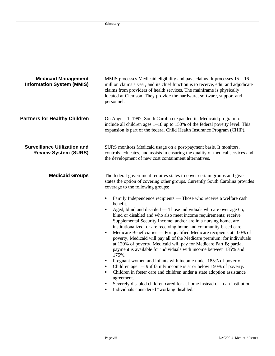| <b>Medicaid Management</b><br><b>Information System (MMIS)</b>     | MMIS processes Medicaid eligibility and pays claims. It processes $15 - 16$<br>million claims a year, and its chief function is to receive, edit, and adjudicate<br>claims from providers of health services. The mainframe is physically<br>located at Clemson. They provide the hardware, software, support and<br>personnel.                                                                                                                                                                                                                                                                                                                                                                                                                                                                                                                                                                                                                                                                                                                                                                                                                                                                                                                                                                                                 |  |  |  |
|--------------------------------------------------------------------|---------------------------------------------------------------------------------------------------------------------------------------------------------------------------------------------------------------------------------------------------------------------------------------------------------------------------------------------------------------------------------------------------------------------------------------------------------------------------------------------------------------------------------------------------------------------------------------------------------------------------------------------------------------------------------------------------------------------------------------------------------------------------------------------------------------------------------------------------------------------------------------------------------------------------------------------------------------------------------------------------------------------------------------------------------------------------------------------------------------------------------------------------------------------------------------------------------------------------------------------------------------------------------------------------------------------------------|--|--|--|
| <b>Partners for Healthy Children</b>                               | On August 1, 1997, South Carolina expanded its Medicaid program to<br>include all children ages 1–18 up to 150% of the federal poverty level. This<br>expansion is part of the federal Child Health Insurance Program (CHIP).                                                                                                                                                                                                                                                                                                                                                                                                                                                                                                                                                                                                                                                                                                                                                                                                                                                                                                                                                                                                                                                                                                   |  |  |  |
| <b>Surveillance Utilization and</b><br><b>Review System (SURS)</b> | SURS monitors Medicaid usage on a post-payment basis. It monitors,<br>controls, educates, and assists in ensuring the quality of medical services and<br>the development of new cost containment alternatives.                                                                                                                                                                                                                                                                                                                                                                                                                                                                                                                                                                                                                                                                                                                                                                                                                                                                                                                                                                                                                                                                                                                  |  |  |  |
| <b>Medicaid Groups</b>                                             | The federal government requires states to cover certain groups and gives<br>states the option of covering other groups. Currently South Carolina provides<br>coverage to the following groups:<br>Family Independence recipients — Those who receive a welfare cash<br>$\bullet$<br>benefit.<br>Aged, blind and disabled — Those individuals who are over age 65,<br>blind or disabled and who also meet income requirements; receive<br>Supplemental Security Income; and/or are in a nursing home, are<br>institutionalized, or are receiving home and community-based care.<br>Medicare Beneficiaries — For qualified Medicare recipients at 100% of<br>$\bullet$<br>poverty, Medicaid will pay all of the Medicare premium; for individuals<br>at 120% of poverty, Medicaid will pay for Medicare Part B; partial<br>payment is available for individuals with income between 135% and<br>175%.<br>Pregnant women and infants with income under 185% of poverty.<br>$\bullet$<br>Children age 1-19 if family income is at or below 150% of poverty.<br>$\bullet$<br>Children in foster care and children under a state adoption assistance<br>$\bullet$<br>agreement.<br>Severely disabled children cared for at home instead of in an institution.<br>$\bullet$<br>Individuals considered "working disabled."<br>$\bullet$ |  |  |  |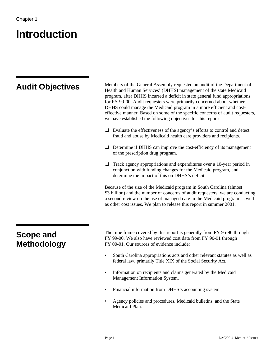# **Introduction**

| <b>Audit Objectives</b>                | Members of the General Assembly requested an audit of the Department of<br>Health and Human Services' (DHHS) management of the state Medicaid<br>program, after DHHS incurred a deficit in state general fund appropriations<br>for FY 99-00. Audit requesters were primarily concerned about whether<br>DHHS could manage the Medicaid program in a more efficient and cost-<br>effective manner. Based on some of the specific concerns of audit requesters,<br>we have established the following objectives for this report: |  |  |  |
|----------------------------------------|---------------------------------------------------------------------------------------------------------------------------------------------------------------------------------------------------------------------------------------------------------------------------------------------------------------------------------------------------------------------------------------------------------------------------------------------------------------------------------------------------------------------------------|--|--|--|
|                                        | $\Box$ Evaluate the effectiveness of the agency's efforts to control and detect<br>fraud and abuse by Medicaid health care providers and recipients.                                                                                                                                                                                                                                                                                                                                                                            |  |  |  |
|                                        | Determine if DHHS can improve the cost-efficiency of its management<br>┙<br>of the prescription drug program.                                                                                                                                                                                                                                                                                                                                                                                                                   |  |  |  |
|                                        | Track agency appropriations and expenditures over a 10-year period in<br>conjunction with funding changes for the Medicaid program, and<br>determine the impact of this on DHHS's deficit.                                                                                                                                                                                                                                                                                                                                      |  |  |  |
|                                        | Because of the size of the Medicaid program in South Carolina (almost<br>\$3 billion) and the number of concerns of audit requesters, we are conducting<br>a second review on the use of managed care in the Medicaid program as well<br>as other cost issues. We plan to release this report in summer 2001.                                                                                                                                                                                                                   |  |  |  |
| <b>Scope and</b><br><b>Methodology</b> | The time frame covered by this report is generally from FY 95-96 through<br>FY 99-00. We also have reviewed cost data from FY 90-91 through<br>FY 00-01. Our sources of evidence include:                                                                                                                                                                                                                                                                                                                                       |  |  |  |
|                                        | South Carolina appropriations acts and other relevant statutes as well as<br>federal law, primarily Title XIX of the Social Security Act.                                                                                                                                                                                                                                                                                                                                                                                       |  |  |  |
|                                        | Information on recipients and claims generated by the Medicaid<br>$\bullet$<br>Management Information System.                                                                                                                                                                                                                                                                                                                                                                                                                   |  |  |  |
|                                        | Financial information from DHHS's accounting system.<br>$\bullet$                                                                                                                                                                                                                                                                                                                                                                                                                                                               |  |  |  |
|                                        | Agency policies and procedures, Medicaid bulletins, and the State<br>Medicaid Plan.                                                                                                                                                                                                                                                                                                                                                                                                                                             |  |  |  |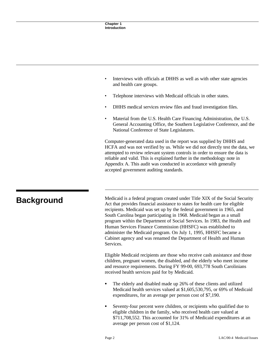- Interviews with officials at DHHS as well as with other state agencies and health care groups.
- Telephone interviews with Medicaid officials in other states.
- DHHS medical services review files and fraud investigation files.
- Material from the U.S. Health Care Financing Administration, the U.S. General Accounting Office, the Southern Legislative Conference, and the National Conference of State Legislatures.

Computer-generated data used in the report was supplied by DHHS and HCFA and was not verified by us. While we did not directly test the data, we attempted to review relevant system controls in order to ensure the data is reliable and valid. This is explained further in the methodology note in Appendix A. This audit was conducted in accordance with generally accepted government auditing standards.

**Background** Medicaid is a federal program created under Title XIX of the Social Security<br>Act that provides financial security contact for health seen for eligible Act that provides financial assistance to states for health care for eligible recipients. Medicaid was set up by the federal government in 1965, and South Carolina began participating in 1968. Medicaid began as a small program within the Department of Social Services. In 1983, the Health and Human Services Finance Commission (HHSFC) was established to administer the Medicaid program. On July 1, 1995, HHSFC became a Cabinet agency and was renamed the Department of Health and Human Services.

> Eligible Medicaid recipients are those who receive cash assistance and those children, pregnant women, the disabled, and the elderly who meet income and resource requirements. During FY 99-00, 693,778 South Carolinians received health services paid for by Medicaid.

- The elderly and disabled made up 26% of these clients and utilized Medicaid health services valued at \$1,605,530,795, or 69% of Medicaid expenditures, for an average per person cost of \$7,190.
- Seventy-four percent were children, or recipients who qualified due to eligible children in the family, who received health care valued at \$711,708,552. This accounted for 31% of Medicaid expenditures at an average per person cost of \$1,124.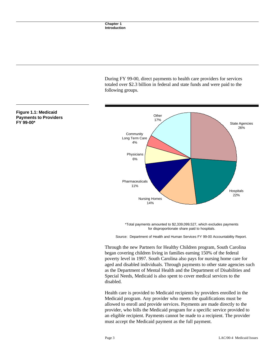During FY 99-00, direct payments to health care providers for services totaled over \$2.3 billion in federal and state funds and were paid to the following groups.



\*Total payments amounted to \$2,339,099,527, which excludes payments for disproportionate share paid to hospitals.

Source: Department of Health and Human Services FY 99-00 Accountability Report.

Through the new Partners for Healthy Children program, South Carolina began covering children living in families earning 150% of the federal poverty level in 1997. South Carolina also pays for nursing home care for aged and disabled individuals. Through payments to other state agencies such as the Department of Mental Health and the Department of Disabilities and Special Needs, Medicaid is also spent to cover medical services to the disabled.

Health care is provided to Medicaid recipients by providers enrolled in the Medicaid program. Any provider who meets the qualifications must be allowed to enroll and provide services. Payments are made directly to the provider, who bills the Medicaid program for a specific service provided to an eligible recipient. Payments cannot be made to a recipient. The provider must accept the Medicaid payment as the full payment.

## **Figure 1.1: Medicaid Payments to Providers FY 99-00\***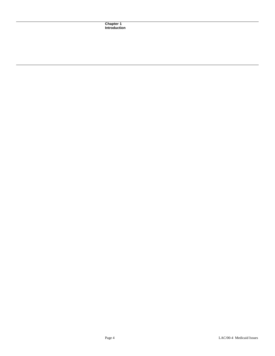**Chapter 1 Introduction**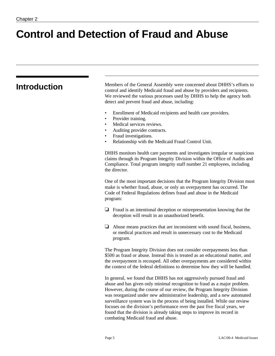# **Control and Detection of Fraud and Abuse**

| <b>Introduction</b> | Members of the General Assembly were concerned about DHHS's efforts to<br>control and identify Medicaid fraud and abuse by providers and recipients.<br>We reviewed the various processes used by DHHS to help the agency both<br>detect and prevent fraud and abuse, including:                                                                                                                                                                                                                                                                   |  |  |  |  |
|---------------------|----------------------------------------------------------------------------------------------------------------------------------------------------------------------------------------------------------------------------------------------------------------------------------------------------------------------------------------------------------------------------------------------------------------------------------------------------------------------------------------------------------------------------------------------------|--|--|--|--|
|                     | Enrollment of Medicaid recipients and health care providers.<br>Provider training.<br>$\bullet$<br>Medical services reviews.<br>$\bullet$<br>Auditing provider contracts.<br>$\bullet$<br>Fraud investigations.<br>$\bullet$<br>Relationship with the Medicaid Fraud Control Unit.<br>$\bullet$                                                                                                                                                                                                                                                    |  |  |  |  |
|                     | DHHS monitors health care payments and investigates irregular or suspicious<br>claims through its Program Integrity Division within the Office of Audits and<br>Compliance. Total program integrity staff number 21 employees, including<br>the director.                                                                                                                                                                                                                                                                                          |  |  |  |  |
|                     | One of the most important decisions that the Program Integrity Division must<br>make is whether fraud, abuse, or only an overpayment has occurred. The<br>Code of Federal Regulations defines fraud and abuse in the Medicaid<br>program:                                                                                                                                                                                                                                                                                                          |  |  |  |  |
|                     | Fraud is an intentional deception or misrepresentation knowing that the<br>⊔<br>deception will result in an unauthorized benefit.                                                                                                                                                                                                                                                                                                                                                                                                                  |  |  |  |  |
|                     | Abuse means practices that are inconsistent with sound fiscal, business,<br>⊔<br>or medical practices and result in unnecessary cost to the Medicaid<br>program.                                                                                                                                                                                                                                                                                                                                                                                   |  |  |  |  |
|                     | The Program Integrity Division does not consider overpayments less than<br>\$500 as fraud or abuse. Instead this is treated as an educational matter, and<br>the overpayment is recouped. All other overpayments are considered within<br>the context of the federal definitions to determine how they will be handled.                                                                                                                                                                                                                            |  |  |  |  |
|                     | In general, we found that DHHS has not aggressively pursued fraud and<br>abuse and has given only minimal recognition to fraud as a major problem.<br>However, during the course of our review, the Program Integrity Division<br>was reorganized under new administrative leadership, and a new automated<br>surveillance system was in the process of being installed. While our review<br>focuses on the division's performance over the past five fiscal years, we<br>found that the division is already taking steps to improve its record in |  |  |  |  |

combating Medicaid fraud and abuse.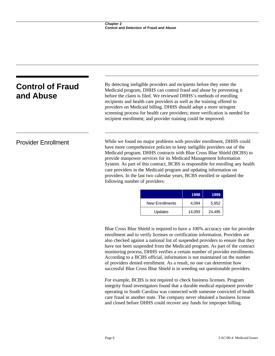| <b>Control of Fraud</b>    | By detecting ineligible providers and recipients before they enter the<br>Medicaid program, DHHS can control fraud and abuse by preventing it                                                                                                                                                                                                                                                                                                                                                                                                                         |  |  |
|----------------------------|-----------------------------------------------------------------------------------------------------------------------------------------------------------------------------------------------------------------------------------------------------------------------------------------------------------------------------------------------------------------------------------------------------------------------------------------------------------------------------------------------------------------------------------------------------------------------|--|--|
| and Abuse                  | before the claim is filed. We reviewed DHHS's methods of enrolling<br>recipients and health care providers as well as the training offered to<br>providers on Medicaid billing. DHHS should adopt a more stringent<br>screening process for health care providers; more verification is needed for<br>recipient enrollment; and provider training could be improved.                                                                                                                                                                                                  |  |  |
| <b>Provider Enrollment</b> | While we found no major problems with provider enrollment, DHHS could<br>have more comprehensive policies to keep ineligible providers out of the<br>Medicaid program. DHHS contracts with Blue Cross Blue Shield (BCBS) to<br>provide manpower services for its Medicaid Management Information<br>System. As part of this contract, BCBS is responsible for enrolling any health<br>care providers in the Medicaid program and updating information on<br>providers. In the last two calendar years, BCBS enrolled or updated the<br>following number of providers: |  |  |

|                 | 1998   | 1999   |
|-----------------|--------|--------|
| New Enrollments | 4.094  | 5.952  |
| Updates         | 14,093 | 24,495 |

Blue Cross Blue Shield is required to have a 100% accuracy rate for provider enrollment and to verify licenses or certification information. Providers are also checked against a national list of suspended providers to ensure that they have not been suspended from the Medicaid program. As part of the contract monitoring process, DHHS verifies a certain number of provider enrollments. According to a BCBS official, information is not maintained on the number of providers denied enrollment. As a result, no one can determine how successful Blue Cross Blue Shield is in weeding out questionable providers.

For example, BCBS is not required to check business licenses. Program integrity fraud investigators found that a durable medical equipment provider operating in South Carolina was connected with someone convicted of health care fraud in another state. The company never obtained a business license and closed before DHHS could recover any funds for improper billing.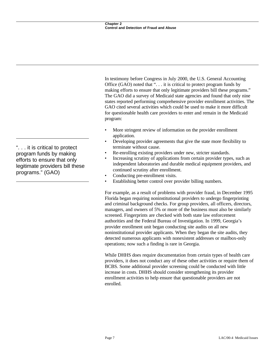In testimony before Congress in July 2000, the U.S. General Accounting Office (GAO) noted that ". . . it is critical to protect program funds by making efforts to ensure that only legitimate providers bill these programs." The GAO did a survey of Medicaid state agencies and found that only nine states reported performing comprehensive provider enrollment activities. The GAO cited several activities which could be used to make it more difficult for questionable health care providers to enter and remain in the Medicaid program:

- More stringent review of information on the provider enrollment application.
- Developing provider agreements that give the state more flexibility to terminate without cause.
- Re-enrolling existing providers under new, stricter standards.
- Increasing scrutiny of applications from certain provider types, such as independent laboratories and durable medical equipment providers, and continued scrutiny after enrollment.
- Conducting pre-enrollment visits.
- Establishing better control over provider billing numbers.

For example, as a result of problems with provider fraud, in December 1995 Florida began requiring noninstitutional providers to undergo fingerprinting and criminal background checks. For group providers, all officers, directors, managers, and owners of 5% or more of the business must also be similarly screened. Fingerprints are checked with both state law enforcement authorities and the Federal Bureau of Investigation. In 1999, Georgia's provider enrollment unit began conducting site audits on all new noninstitutional provider applicants. When they began the site audits, they detected numerous applicants with nonexistent addresses or mailbox-only operations; now such a finding is rare in Georgia.

While DHHS does require documentation from certain types of health care providers, it does not conduct any of these other activities or require them of BCBS. Some additional provider screening could be conducted with little increase in costs. DHHS should consider strengthening its provider enrollment activities to help ensure that questionable providers are not enrolled.

". . . it is critical to protect program funds by making efforts to ensure that only legitimate providers bill these programs." (GAO)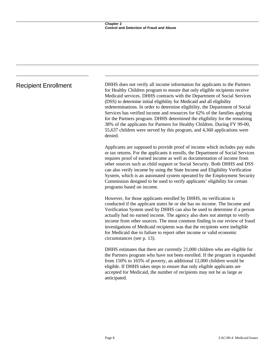Recipient Enrollment DHHS does not verify all income information for applicants to the Partners for Healthy Children program to ensure that only eligible recipients receive Medicaid services. DHHS contracts with the Department of Social Services (DSS) to determine initial eligibility for Medicaid and all eligibility redeterminations. In order to determine eligibility, the Department of Social Services has verified income and resources for 62% of the families applying for the Partners program. DHHS determined the eligibility for the remaining 38% of the applicants for Partners for Healthy Children. During FY 99-00, 55,637 children were served by this program, and 4,360 applications were denied.

> Applicants are supposed to provide proof of income which includes pay stubs or tax returns. For the applicants it enrolls, the Department of Social Services requires proof of earned income as well as documentation of income from other sources such as child support or Social Security. Both DHHS and DSS can also verify income by using the State Income and Eligibility Verification System, which is an automated system operated by the Employment Security Commission designed to be used to verify applicants' eligibility for certain programs based on income.

> However, for those applicants enrolled by DHHS, no verification is conducted if the applicant states he or she has no income. The Income and Verification System used by DHHS can also be used to determine if a person actually had no earned income. The agency also does not attempt to verify income from other sources. The most common finding in our review of fraud investigations of Medicaid recipients was that the recipients were ineligible for Medicaid due to failure to report other income or valid economic circumstances (see p. 13).

> DHHS estimates that there are currently 21,000 children who are eligible for the Partners program who have not been enrolled. If the program is expanded from 150% to 165% of poverty, an additional 12,000 children would be eligible. If DHHS takes steps to ensure that only eligible applicants are accepted for Medicaid, the number of recipients may not be as large as anticipated.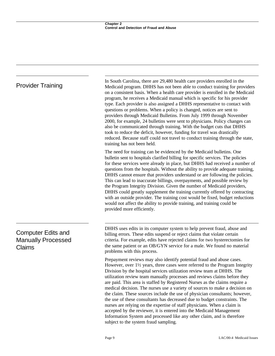| <b>Provider Training</b>                                                | In South Carolina, there are 29,480 health care providers enrolled in the<br>Medicaid program. DHHS has not been able to conduct training for providers<br>on a consistent basis. When a health care provider is enrolled in the Medicaid<br>program, he receives a Medicaid manual which is specific for his provider<br>type. Each provider is also assigned a DHHS representative to contact with<br>questions or problems. When a policy is changed, notices are sent to<br>providers through Medicaid Bulletins. From July 1999 through November<br>2000, for example, 24 bulletins were sent to physicians. Policy changes can<br>also be communicated through training. With the budget cuts that DHHS<br>took to reduce the deficit, however, funding for travel was drastically<br>reduced. Because staff could not travel to conduct training through the state,<br>training has not been held.      |
|-------------------------------------------------------------------------|----------------------------------------------------------------------------------------------------------------------------------------------------------------------------------------------------------------------------------------------------------------------------------------------------------------------------------------------------------------------------------------------------------------------------------------------------------------------------------------------------------------------------------------------------------------------------------------------------------------------------------------------------------------------------------------------------------------------------------------------------------------------------------------------------------------------------------------------------------------------------------------------------------------|
|                                                                         | The need for training can be evidenced by the Medicaid bulletins. One<br>bulletin sent to hospitals clarified billing for specific services. The policies<br>for these services were already in place, but DHHS had received a number of<br>questions from the hospitals. Without the ability to provide adequate training,<br>DHHS cannot ensure that providers understand or are following the policies.<br>This can lead to inaccurate billings, overpayments, and possible review by<br>the Program Integrity Division. Given the number of Medicaid providers,<br>DHHS could greatly supplement the training currently offered by contracting<br>with an outside provider. The training cost would be fixed, budget reductions<br>would not affect the ability to provide training, and training could be<br>provided more efficiently.                                                                   |
| <b>Computer Edits and</b><br><b>Manually Processed</b><br><b>Claims</b> | DHHS uses edits in its computer system to help prevent fraud, abuse and<br>billing errors. These edits suspend or reject claims that violate certain<br>criteria. For example, edits have rejected claims for two hysterectomies for<br>the same patient or an OB/GYN service for a male. We found no material<br>problems with this process.                                                                                                                                                                                                                                                                                                                                                                                                                                                                                                                                                                  |
|                                                                         | Prepayment reviews may also identify potential fraud and abuse cases.<br>However, over 11/2 years, three cases were referred to the Program Integrity<br>Division by the hospital services utilization review team at DHHS. The<br>utilization review team manually processes and reviews claims before they<br>are paid. This area is staffed by Registered Nurses as the claims require a<br>medical decision. The nurses use a variety of sources to make a decision on<br>the claim. These sources include the use of physician consultants; however,<br>the use of these consultants has decreased due to budget constraints. The<br>nurses are relying on the expertise of staff physicians. When a claim is<br>accepted by the reviewer, it is entered into the Medicaid Management<br>Information System and processed like any other claim, and is therefore<br>subject to the system fraud sampling. |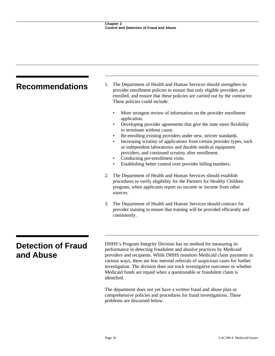| <b>Recommendations</b>                 | The Department of Health and Human Services should strengthen its<br>1.<br>provider enrollment policies to ensure that only eligible providers are<br>enrolled, and ensure that these policies are carried out by the contractor.<br>These policies could include:                                                                                                                                                                                                                                                                                                                                                                                                                                                                                                                                                                                                                                         |  |  |  |  |
|----------------------------------------|------------------------------------------------------------------------------------------------------------------------------------------------------------------------------------------------------------------------------------------------------------------------------------------------------------------------------------------------------------------------------------------------------------------------------------------------------------------------------------------------------------------------------------------------------------------------------------------------------------------------------------------------------------------------------------------------------------------------------------------------------------------------------------------------------------------------------------------------------------------------------------------------------------|--|--|--|--|
|                                        | More stringent review of information on the provider enrollment<br>application.<br>Developing provider agreements that give the state more flexibility<br>$\bullet$<br>to terminate without cause.<br>Re-enrolling existing providers under new, stricter standards.<br>$\bullet$<br>Increasing scrutiny of applications from certain provider types, such<br>as independent laboratories and durable medical equipment<br>providers, and continued scrutiny after enrollment.<br>Conducting pre-enrollment visits.<br>$\bullet$<br>Establishing better control over provider billing numbers.<br>٠<br>The Department of Health and Human Services should establish<br>2.<br>procedures to verify eligibility for the Partners for Healthy Children<br>program, when applicants report no income or income from other<br>sources.<br>3.<br>The Department of Health and Human Services should contract for |  |  |  |  |
|                                        | provider training to ensure that training will be provided efficiently and<br>consistently.                                                                                                                                                                                                                                                                                                                                                                                                                                                                                                                                                                                                                                                                                                                                                                                                                |  |  |  |  |
| <b>Detection of Fraud</b><br>and Abuse | DHHS's Program Integrity Division has no method for measuring its<br>performance in detecting fraudulent and abusive practices by Medicaid<br>providers and recipients. While DHHS monitors Medicaid claim payments in<br>various ways, there are few internal referrals of suspicious cases for further<br>investigation. The division does not track investigative outcomes or whether<br>Medicaid funds are repaid when a questionable or fraudulent claim is<br>identified.                                                                                                                                                                                                                                                                                                                                                                                                                            |  |  |  |  |
|                                        | The department does not yet have a written fraud and abuse plan or<br>comprehensive policies and procedures for fraud investigations. These                                                                                                                                                                                                                                                                                                                                                                                                                                                                                                                                                                                                                                                                                                                                                                |  |  |  |  |

problems are discussed below.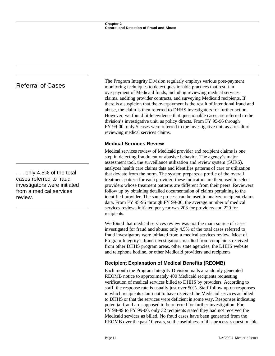# Referral of Cases

. . . only 4.5% of the total cases referred to fraud investigators were initiated from a medical services review.

The Program Integrity Division regularly employs various post-payment monitoring techniques to detect questionable practices that result in overpayment of Medicaid funds, including reviewing medical services claims, auditing provider contracts, and surveying Medicaid recipients. If there is a suspicion that the overpayment is the result of intentional fraud and abuse, the claim is then referred to DHHS investigators for further action. However, we found little evidence that questionable cases are referred to the division's investigative unit, as policy directs. From FY 95-96 through FY 99-00, only 5 cases were referred to the investigative unit as a result of reviewing medical services claims.

# **Medical Services Review**

Medical services review of Medicaid provider and recipient claims is one step in detecting fraudulent or abusive behavior. The agency's major assessment tool, the surveillance utilization and review system (SURS), analyzes health care claims data and identifies patterns of care or utilization that deviate from the norm. The system prepares a profile of the overall treatment pattern for each provider; these indicators are then used to select providers whose treatment patterns are different from their peers. Reviewers follow up by obtaining detailed documentation of claims pertaining to the identified provider. The same process can be used to analyze recipient claims data. From FY 95-96 through FY 99-00, the average number of medical services reviews initiated per year was 203 for providers and 220 for recipients.

We found that medical services review was not the main source of cases investigated for fraud and abuse; only 4.5% of the total cases referred to fraud investigators were initiated from a medical services review. Most of Program Integrity's fraud investigations resulted from complaints received from other DHHS program areas, other state agencies, the DHHS website and telephone hotline, or other Medicaid providers and recipients.

# **Recipient Explanation of Medical Benefits (REOMB)**

Each month the Program Integrity Division mails a randomly generated REOMB notice to approximately 400 Medicaid recipients requesting verification of medical services billed to DHHS by providers. According to staff, the response rate is usually just over 50%. Staff follow up on responses in which recipients claim not to have received the Medicaid services as billed to DHHS or that the services were deficient in some way. Responses indicating potential fraud are supposed to be referred for further investigation. For FY 98-99 to FY 99-00, only 32 recipients stated they had not received the Medicaid services as billed. No fraud cases have been generated from the REOMB over the past 10 years, so the usefulness of this process is questionable.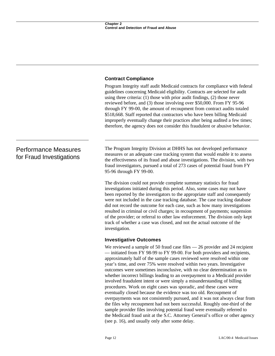# **Contract Compliance**

Program Integrity staff audit Medicaid contracts for compliance with federal guidelines concerning Medicaid eligibility. Contracts are selected for audit using three criteria: (1) those with prior audit findings, (2) those never reviewed before, and (3) those involving over \$50,000. From FY 95-96 through FY 99-00, the amount of recoupment from contract audits totaled \$518,668. Staff reported that contractors who have been billing Medicaid improperly eventually change their practices after being audited a few times; therefore, the agency does not consider this fraudulent or abusive behavior.

# Performance Measures for Fraud Investigations

The Program Integrity Division at DHHS has not developed performance measures or an adequate case tracking system that would enable it to assess the effectiveness of its fraud and abuse investigations. The division, with two fraud investigators, pursued a total of 273 cases of potential fraud from FY 95-96 through FY 99-00.

The division could not provide complete summary statistics for fraud investigations initiated during this period. Also, some cases may not have been reported by the investigators to the appropriate staff and consequently were not included in the case tracking database. The case tracking database did not record the outcome for each case, such as how many investigations resulted in criminal or civil charges; in recoupment of payments; suspension of the provider; or referral to other law enforcement. The division only kept track of whether a case was closed, and not the actual outcome of the investigation.

# **Investigative Outcomes**

We reviewed a sample of 50 fraud case files — 26 provider and 24 recipient — initiated from FY 98-99 to FY 99-00. For both providers and recipients, approximately half of the sample cases reviewed were resolved within one year's time, and over 75% were resolved within two years. Investigative outcomes were sometimes inconclusive, with no clear determination as to whether incorrect billings leading to an overpayment to a Medicaid provider involved fraudulent intent or were simply a misunderstanding of billing procedures. Work on eight cases was sporadic, and these cases were eventually closed because the evidence was too old. Recoupment of overpayments was not consistently pursued, and it was not always clear from the files why recoupment had not been successful. Roughly one-third of the sample provider files involving potential fraud were eventually referred to the Medicaid fraud unit at the S.C. Attorney General's office or other agency (see p. 16), and usually only after some delay.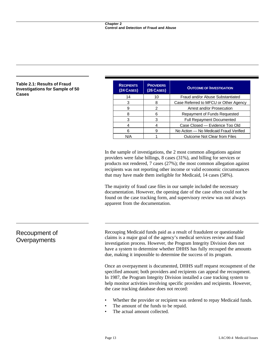### **Table 2.1: Results of Fraud Investigations for Sample of 50 Cases**

| <b>RECIPIENTS</b><br>(24<br>CASES) | <b>PROVIDERS</b><br>$(26$ CASES) | <b>OUTCOME OF INVESTIGATION</b>        |  |  |  |
|------------------------------------|----------------------------------|----------------------------------------|--|--|--|
| 14                                 | 10                               | Fraud and/or Abuse Substantiated       |  |  |  |
| 3                                  | 8                                | Case Referred to MFCU or Other Agency  |  |  |  |
| 9                                  | 2                                | Arrest and/or Prosecution              |  |  |  |
| 8                                  | 6                                | Repayment of Funds Requested           |  |  |  |
| 3                                  | 3                                | <b>Full Repayment Documented</b>       |  |  |  |
| 4                                  |                                  | Case Closed - Evidence Too Old         |  |  |  |
| 6                                  | 9                                | No Action – No Medicaid Fraud Verified |  |  |  |
| N/A                                |                                  | <b>Outcome Not Clear from Files</b>    |  |  |  |

In the sample of investigations, the 2 most common allegations against providers were false billings, 8 cases (31%), and billing for services or products not rendered, 7 cases (27%); the most common allegation against recipients was not reporting other income or valid economic circumstances that may have made them ineligible for Medicaid, 14 cases (58%).

The majority of fraud case files in our sample included the necessary documentation. However, the opening date of the case often could not be found on the case tracking form, and supervisory review was not always apparent from the documentation.

# Recoupment of **Overpayments**

Recouping Medicaid funds paid as a result of fraudulent or questionable claims is a major goal of the agency's medical services review and fraud investigation process. However, the Program Integrity Division does not have a system to determine whether DHHS has fully recouped the amounts due, making it impossible to determine the success of its program.

Once an overpayment is documented, DHHS staff request recoupment of the specified amount; both providers and recipients can appeal the recoupment. In 1987, the Program Integrity Division installed a case tracking system to help monitor activities involving specific providers and recipients. However, the case tracking database does not record:

- Whether the provider or recipient was ordered to repay Medicaid funds.
- The amount of the funds to be repaid.
- The actual amount collected.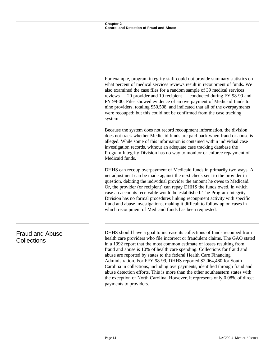For example, program integrity staff could not provide summary statistics on what percent of medical services reviews result in recoupment of funds. We also examined the case files for a random sample of 39 medical services reviews — 20 provider and 19 recipient — conducted during FY 98-99 and FY 99-00. Files showed evidence of an overpayment of Medicaid funds to nine providers, totaling \$50,508, and indicated that all of the overpayments were recouped; but this could not be confirmed from the case tracking system.

Because the system does not record recoupment information, the division does not track whether Medicaid funds are paid back when fraud or abuse is alleged. While some of this information is contained within individual case investigation records, without an adequate case tracking database the Program Integrity Division has no way to monitor or enforce repayment of Medicaid funds.

DHHS can recoup overpayment of Medicaid funds in primarily two ways. A net adjustment can be made against the next check sent to the provider in question, debiting the individual provider the amount he owes to Medicaid. Or, the provider (or recipient) can repay DHHS the funds owed, in which case an accounts receivable would be established. The Program Integrity Division has no formal procedures linking recoupment activity with specific fraud and abuse investigations, making it difficult to follow up on cases in which recoupment of Medicaid funds has been requested.

Fraud and Abuse **Collections** 

DHHS should have a goal to increase its collections of funds recouped from health care providers who file incorrect or fraudulent claims. The GAO stated in a 1992 report that the most common estimate of losses resulting from fraud and abuse is 10% of health care spending. Collections for fraud and abuse are reported by states to the federal Health Care Financing Administration. For FFY 98-99, DHHS reported \$2,064,460 for South Carolina in collections, including overpayments, identified through fraud and abuse detection efforts. This is more than the other southeastern states with the exception of North Carolina. However, it represents only 0.08% of direct payments to providers.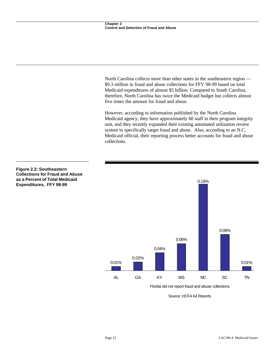North Carolina collects more than other states in the southeastern region — \$9.3 million in fraud and abuse collections for FFY 98-99 based on total Medicaid expenditures of almost \$5 billion. Compared to South Carolina, therefore, North Carolina has twice the Medicaid budget but collects almost five times the amount for fraud and abuse.

However, according to information published by the North Carolina Medicaid agency, they have approximately 60 staff in their program integrity unit, and they recently expanded their existing automated utilization review system to specifically target fraud and abuse. Also, according to an N.C. Medicaid official, their reporting process better accounts for fraud and abuse collections.



Florida did not report fraud and abuse collections.

Source: HCFA 64 Reports.

### **Figure 2.2: Southeastern Collections for Fraud and Abuse as a Percent of Total Medicaid Expenditures, FFY 98-99**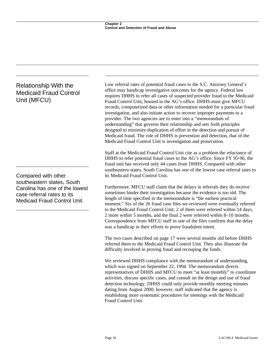# Relationship With the Medicaid Fraud Control Unit (MFCU)

Compared with other southeastern states, South Carolina has one of the lowest case referral rates to its Medicaid Fraud Control Unit.

Low referral rates of potential fraud cases to the S.C. Attorney General's office may handicap investigative outcomes for the agency. Federal law requires DHHS to refer all cases of suspected provider fraud to the Medicaid Fraud Control Unit, housed in the AG's office. DHHS must give MFCU records, computerized data or other information needed for a particular fraud investigation, and also initiate action to recover improper payments to a provider. The two agencies are to enter into a "memorandum of understanding" that governs their relationship and sets forth principles designed to minimize duplication of effort in the detection and pursuit of Medicaid fraud. The role of DHHS is prevention and detection, that of the Medicaid Fraud Control Unit is investigation and prosecution.

Staff at the Medicaid Fraud Control Unit cite as a problem the reluctance of DHHS to refer potential fraud cases to the AG's office. Since FY 95-96, the fraud unit has received only 44 cases from DHHS. Compared with other southeastern states, South Carolina has one of the lowest case referral rates to its Medicaid Fraud Control Unit.

Furthermore, MFCU staff claim that the delays in referrals they do receive sometimes hinder their investigation because the evidence is too old. The length of time specified in the memorandum is "the earliest practical moment." Six of the 26 fraud case files we reviewed were eventually referred to the Medicaid Fraud Control Unit; 2 of them were referred within 14 days, 2 more within 5 months, and the final 2 were referred within 8–10 months. Correspondence from MFCU staff in one of the files confirms that the delay was a handicap in their efforts to prove fraudulent intent.

The two cases described on page 17 were several months old before DHHS referred them to the Medicaid Fraud Control Unit. They also illustrate the difficulty involved in proving fraud and recouping the funds.

We reviewed DHHS compliance with the memorandum of understanding, which was signed on September 22, 1994. The memorandum directs representatives of DHHS and MFCU to meet "at least monthly" to coordinate activities, discuss specific cases, and consult on the design and use of fraud detection technology. DHHS could only provide monthly meeting minutes dating from August 2000; however, staff indicated that the agency is establishing more systematic procedures for meetings with the Medicaid Fraud Control Unit.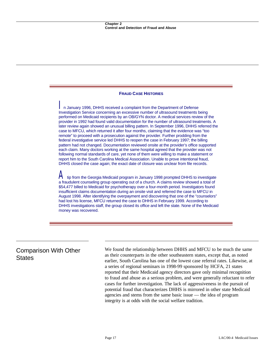### **FRAUD CASE HISTORIES**

*I*n January 1996, DHHS received a complaint from the Department of Defense Investigation Service concerning an excessive number of ultrasound treatments being performed on Medicaid recipients by an OB/GYN doctor. A medical services review of the provider in 1992 had found valid documentation for the number of ultrasound treatments. A later review again showed an unusual billing pattern. In September 1996, DHHS referred the case to MFCU, which returned it after four months, claiming that the evidence was "too remote" to proceed with a prosecution against the provider. Further prodding from the federal investigative service led DHHS to reopen the case in February 1997; the billing pattern had not changed. Documentation reviewed onsite at the provider's office supported each claim. Many doctors working at the same hospital agreed that the provider was not following normal standards of care, yet none of them were willing to make a statement or report him to the South Carolina Medical Association. Unable to prove intentional fraud, DHHS closed the case again; the exact date of closure was unclear from file records.

*A* tip from the Georgia Medicaid program in January 1998 prompted DHHS to investigate a fraudulent counseling group operating out of a church. A claims review showed a total of \$54,477 billed to Medicaid for psychotherapy over a four-month period. Investigators found insufficient claims documentation during an onsite visit and referred the case to MFCU in August 1998. After identifying the overpayment and discovering that one of the "counselors" had lost his license, MFCU returned the case to DHHS in February 1999. According to DHHS investigations staff, the group closed its office and left the state. None of the Medicaid money was recovered.

# Comparison With Other **States**

We found the relationship between DHHS and MFCU to be much the same as their counterparts in the other southeastern states, except that, as noted earlier, South Carolina has one of the lowest case referral rates. Likewise, at a series of regional seminars in 1998-99 sponsored by HCFA, 21 states reported that their Medicaid agency directors gave only minimal recognition to fraud and abuse as a serious problem, and were generally reluctant to refer cases for further investigation. The lack of aggressiveness in the pursuit of potential fraud that characterizes DHHS is mirrored in other state Medicaid agencies and stems from the same basic issue — the idea of program integrity is at odds with the social welfare tradition.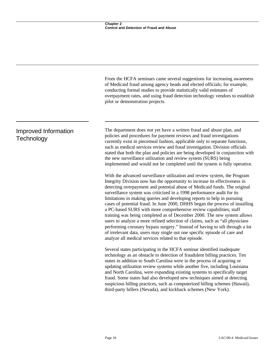|                                    | From the HCFA seminars came several suggestions for increasing awareness<br>of Medicaid fraud among agency heads and elected officials; for example,<br>conducting formal studies to provide statistically valid estimates of<br>overpayment rates, and using fraud detection technology vendors to establish<br>pilot or demonstration projects.                                                                                                                                                                                                                                                                                                                                                                                                                                                                                                                                                                                  |
|------------------------------------|------------------------------------------------------------------------------------------------------------------------------------------------------------------------------------------------------------------------------------------------------------------------------------------------------------------------------------------------------------------------------------------------------------------------------------------------------------------------------------------------------------------------------------------------------------------------------------------------------------------------------------------------------------------------------------------------------------------------------------------------------------------------------------------------------------------------------------------------------------------------------------------------------------------------------------|
| Improved Information<br>Technology | The department does not yet have a written fraud and abuse plan, and<br>policies and procedures for payment reviews and fraud investigations<br>currently exist in piecemeal fashion, applicable only to separate functions,<br>such as medical services review and fraud investigation. Division officials<br>stated that both the plan and policies are being developed in conjunction with<br>the new surveillance utilization and review system (SURS) being<br>implemented and would not be completed until the system is fully operative.                                                                                                                                                                                                                                                                                                                                                                                    |
|                                    | With the advanced surveillance utilization and review system, the Program<br>Integrity Division now has the opportunity to increase its effectiveness in<br>detecting overpayment and potential abuse of Medicaid funds. The original<br>surveillance system was criticized in a 1998 performance audit for its<br>limitations in making queries and developing reports to help in pursuing<br>cases of potential fraud. In June 2000, DHHS began the process of installing<br>a PC-based SURS with more comprehensive review capabilities; staff<br>training was being completed as of December 2000. The new system allows<br>users to analyze a more refined selection of claims, such as "all physicians<br>performing coronary bypass surgery." Instead of having to sift through a lot<br>of irrelevant data, users may single out one specific episode of care and<br>analyze all medical services related to that episode. |
|                                    | Several states participating in the HCFA seminar identified inadequate<br>technology as an obstacle to detection of fraudulent billing practices. Ten<br>states in addition to South Carolina were in the process of acquiring or<br>updating utilization review systems while another five, including Louisiana<br>and North Carolina, were expanding existing systems to specifically target<br>fraud. Some states had also developed new techniques aimed at detecting<br>suspicious billing practices, such as computerized billing schemes (Hawaii),<br>third-party billers (Nevada), and kickback schemes (New York).                                                                                                                                                                                                                                                                                                        |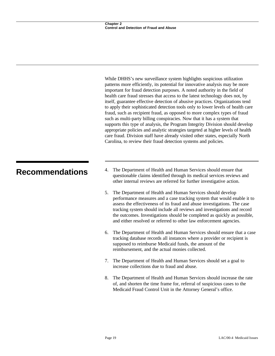While DHHS's new surveillance system highlights suspicious utilization patterns more efficiently, its potential for innovative analysis may be more important for fraud detection purposes. A noted authority in the field of health care fraud stresses that access to the latest technology does not, by itself, guarantee effective detection of abusive practices. Organizations tend to apply their sophisticated detection tools only to lower levels of health care fraud, such as recipient fraud, as opposed to more complex types of fraud such as multi-party billing conspiracies. Now that it has a system that supports this type of analysis, the Program Integrity Division should develop appropriate policies and analytic strategies targeted at higher levels of health care fraud. Division staff have already visited other states, especially North Carolina, to review their fraud detection systems and policies.

- **Recommendations** 4. The Department of Health and Human Services should ensure that questionable claims identified through its medical services reviews and other internal reviews are referred for further investigative action.
	- 5. The Department of Health and Human Services should develop performance measures and a case tracking system that would enable it to assess the effectiveness of its fraud and abuse investigations. The case tracking system should include all reviews and investigations and record the outcomes. Investigations should be completed as quickly as possible, and either resolved or referred to other law enforcement agencies.
	- 6. The Department of Health and Human Services should ensure that a case tracking database records all instances where a provider or recipient is supposed to reimburse Medicaid funds, the amount of the reimbursement, and the actual monies collected.
	- 7. The Department of Health and Human Services should set a goal to increase collections due to fraud and abuse.
	- 8. The Department of Health and Human Services should increase the rate of, and shorten the time frame for, referral of suspicious cases to the Medicaid Fraud Control Unit in the Attorney General's office.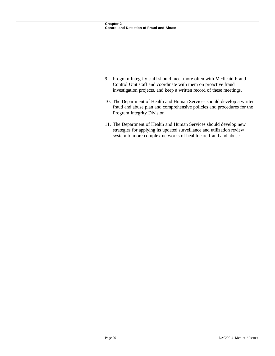- 9. Program Integrity staff should meet more often with Medicaid Fraud Control Unit staff and coordinate with them on proactive fraud investigation projects, and keep a written record of these meetings.
- 10. The Department of Health and Human Services should develop a written fraud and abuse plan and comprehensive policies and procedures for the Program Integrity Division.
- 11. The Department of Health and Human Services should develop new strategies for applying its updated surveillance and utilization review system to more complex networks of health care fraud and abuse.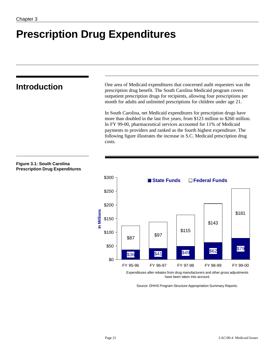# **Prescription Drug Expenditures**

**Figure 3.1: South Carolina Prescription Drug Expenditures**

**Introduction** One area of Medicaid expenditures that concerned audit requesters was the prescription drug benefit. The South Carolina Medicaid program covers outpatient prescription drugs for recipients, allowing four prescriptions per month for adults and unlimited prescriptions for children under age 21.

> In South Carolina, net Medicaid expenditures for prescription drugs have more than doubled in the last five years, from \$123 million to \$260 million. In FY 99-00, pharmaceutical services accounted for 11% of Medicaid payments to providers and ranked as the fourth highest expenditure. The following figure illustrates the increase in S.C. Medicaid prescription drug costs.

# **\$36 \$41 \$49 \$62 \$79** \$87 \$97 \$115 \$143 \$181 \$0 \$50 \$100 \$150 \$200 \$250 \$300 FY 95-96 FY 96-97 FY 97-98 FY 98-99 FY 99-00 **In Millions** ■ State Funds □ Federal Funds

Expenditures after rebates from drug manufacturers and other gross adjustments have been taken into account.

Source: DHHS Program Structure Appropriation Summary Reports.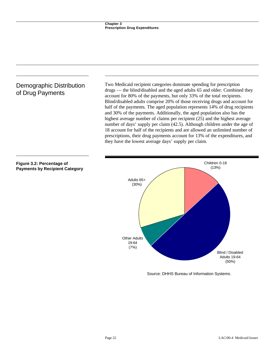# Demographic Distribution of Drug Payments

Two Medicaid recipient categories dominate spending for prescription drugs — the blind/disabled and the aged adults 65 and older. Combined they account for 80% of the payments, but only 33% of the total recipients. Blind/disabled adults comprise 20% of those receiving drugs and account for half of the payments. The aged population represents 14% of drug recipients and 30% of the payments. Additionally, the aged population also has the highest average number of claims per recipient (25) and the highest average number of days' supply per claim (42.5). Although children under the age of 18 account for half of the recipients and are allowed an unlimited number of prescriptions, their drug payments account for 13% of the expenditures, and they have the lowest average days' supply per claim.



Source: DHHS Bureau of Information Systems.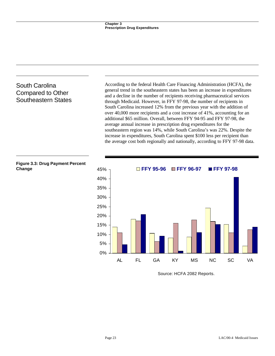# South Carolina Compared to Other Southeastern States

According to the federal Health Care Financing Administration (HCFA), the general trend in the southeastern states has been an increase in expenditures and a decline in the number of recipients receiving pharmaceutical services through Medicaid. However, in FFY 97-98, the number of recipients in South Carolina increased 12% from the previous year with the addition of over 40,000 more recipients and a cost increase of 41%, accounting for an additional \$65 million. Overall, between FFY 94-95 and FFY 97-98, the average annual increase in prescription drug expenditures for the southeastern region was 14%, while South Carolina's was 22%. Despite the increase in expenditures, South Carolina spent \$100 less per recipient than the average cost both regionally and nationally, according to FFY 97-98 data.



Source: HCFA 2082 Reports.

**Change**

**Figure 3.3: Drug Payment Percent**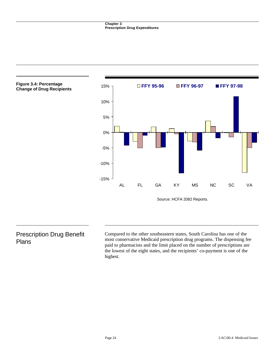

# Prescription Drug Benefit Plans

Compared to the other southeastern states, South Carolina has one of the most conservative Medicaid prescription drug programs. The dispensing fee paid to pharmacists and the limit placed on the number of prescriptions are the lowest of the eight states, and the recipients' co-payment is one of the highest.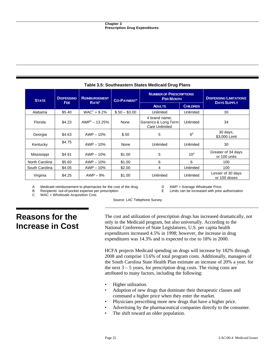| <b>STATE</b>   | <b>DISPENSING</b><br>FEE. | <b>REIMBURSEMENT</b> | <b>CO-PAYMENT<sup>B</sup></b><br><b>RATE</b> <sup>A</sup> | <b>NUMBER OF PRESCRIPTIONS</b><br><b>PER MONTH</b>      |                 | <b>DISPENSING LIMITATIONS</b>      |
|----------------|---------------------------|----------------------|-----------------------------------------------------------|---------------------------------------------------------|-----------------|------------------------------------|
|                |                           |                      |                                                           | <b>ADULTS</b>                                           | <b>CHILDREN</b> | <b>DAYS SUPPLY</b>                 |
| Alabama        | \$5.40                    | $WACc + 9.2%$        | $$.50 - $3.00$                                            | Unlimited                                               | Unlimited       | 30                                 |
| Florida        | \$4.23                    | $AWPD - 13.25%$      | None                                                      | 4 brand name;<br>Generics & Long Term<br>Care Unlimited | Unlimited       | 34                                 |
| Georgia        | \$4.63                    | $AWP - 10%$          | \$.50                                                     | 5                                                       | $6^E$           | 30 days,<br>\$3,000 Limit          |
| Kentucky       | \$4.75                    | $AWP - 10%$          | None                                                      | Unlimited                                               | Unlimited       | 30                                 |
| Mississippi    | \$4.91                    | $AWP - 10%$          | \$1.00                                                    | 5                                                       | $10^E$          | Greater of 34 days<br>or 100 units |
| North Carolina | \$5.60                    | $AWP - 10%$          | \$1.00                                                    | 6                                                       | 6               | 100                                |
| South Carolina | \$4.05                    | $AWP - 10%$          | \$2.00                                                    | 4                                                       | Unlimited       | 100                                |
| Virginia       | \$4.25                    | $AWP - 9%$           | \$1.00                                                    | Unlimited                                               | Unlimited       | Lesser of 30 days<br>or 100 doses  |

## **Table 3.5: Southeastern States Medicaid Drug Plans**

A Medicaid reimbursement to pharmacies for the cost of the drug. D AWP = Average Wholesale Price.

B Recipients' out-of-pocket expense per prescription.<br>C WAC = Wholesale Acquisition Cost.

 $WAC = Wholesale$  Acquisition Cost.

Source: LAC Telephone Survey.

# **Reasons for the Increase in Cost**

The cost and utilization of prescription drugs has increased dramatically, not only in the Medicaid program, but also universally. According to the National Conference of State Legislatures, U.S. per capita health expenditures increased 4.5% in 1998; however, the increase in drug expenditures was 14.3% and is expected to rise to 18% in 2000.

HCFA projects Medicaid spending on drugs will increase by 182% through 2008 and comprise 13.6% of total program costs. Additionally, managers of the South Carolina State Health Plan estimate an increase of 20% a year, for the next  $3 - 5$  years, for prescription drug costs. The rising costs are attributed to many factors, including the following:

- Higher utilization.
- Adoption of new drugs that dominate their therapeutic classes and command a higher price when they enter the market.
- Physicians prescribing more new drugs that have a higher price.
- Advertising by the pharmaceutical companies directly to the consumer.
- The shift toward an older population.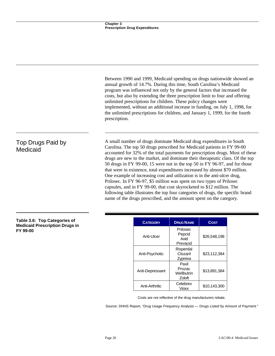Between 1990 and 1999, Medicaid spending on drugs nationwide showed an annual growth of 14.7%. During this time, South Carolina's Medicaid program was influenced not only by the general factors that increased the costs, but also by extending the three prescription limit to four and offering unlimited prescriptions for children. These policy changes were implemented, without an additional increase in funding, on July 1, 1998, for the unlimited prescriptions for children, and January 1, 1999, for the fourth prescription.

A small number of drugs dominate Medicaid drug expenditures in South Carolina. The top 50 drugs prescribed for Medicaid patients in FY 99-00 accounted for 32% of the total payments for prescription drugs. Most of these drugs are new to the market, and dominate their therapeutic class. Of the top 50 drugs in FY 99-00, 15 were not in the top 50 in FY 96-97, and for those that were in existence, total expenditures increased by almost \$70 million. One example of increasing cost and utilization is in the anti-ulcer drug, Prilosec. In FY 96-97, \$5 million was spent on two types of Prilosec capsules, and in FY 99-00, that cost skyrocketed to \$12 million. The following table illustrates the top four categories of drugs, the specific brand name of the drugs prescribed, and the amount spent on the category.

## **Table 3.6: Top Categories of Medicaid Prescription Drugs in FY 99-00**

Top Drugs Paid by

Medicaid

| <b>CATEGORY</b> | <b>DRUG NAME</b>                        | <b>COST</b>  |
|-----------------|-----------------------------------------|--------------|
| Anti-Ulcer      | Prilosec<br>Pepcid<br>Axid<br>Prevacid  | \$26,548,198 |
| Anti-Psychotic  | Risperdal<br>Clozaril<br>Zyprexa        | \$23,112,384 |
| Anti-Depressant | Paxil<br>Prozac<br>Wellbutrin<br>Zoloft | \$13,891,384 |
| Anti-Arthritic  | Celebrex<br>Vioxx                       | \$10.143.300 |

Costs are not reflective of the drug manufacturers rebate.

Source: DHHS Report, "Drug Usage Frequency Analysis — Drugs Listed by Amount of Payment."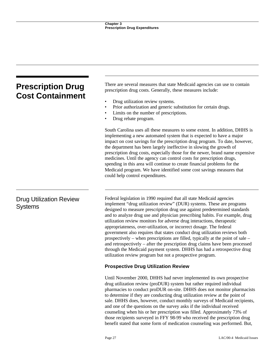| <b>Prescription Drug</b><br><b>Cost Containment</b> | There are several measures that state Medicaid agencies can use to contain<br>prescription drug costs. Generally, these measures include:                                                                                                                                                                                                                                                                                                                                                                                                                                                                                                                                                                                                                                                                                                           |  |  |
|-----------------------------------------------------|-----------------------------------------------------------------------------------------------------------------------------------------------------------------------------------------------------------------------------------------------------------------------------------------------------------------------------------------------------------------------------------------------------------------------------------------------------------------------------------------------------------------------------------------------------------------------------------------------------------------------------------------------------------------------------------------------------------------------------------------------------------------------------------------------------------------------------------------------------|--|--|
|                                                     | Drug utilization review systems.<br>$\bullet$<br>Prior authorization and generic substitution for certain drugs.<br>$\bullet$<br>Limits on the number of prescriptions.<br>Drug rebate program.                                                                                                                                                                                                                                                                                                                                                                                                                                                                                                                                                                                                                                                     |  |  |
|                                                     | South Carolina uses all these measures to some extent. In addition, DHHS is<br>implementing a new automated system that is expected to have a major<br>impact on cost savings for the prescription drug program. To date, however,<br>the department has been largely ineffective in slowing the growth of<br>prescription drug costs, especially those for the newer, brand name expensive<br>medicines. Until the agency can control costs for prescription drugs,<br>spending in this area will continue to create financial problems for the<br>Medicaid program. We have identified some cost savings measures that<br>could help control expenditures.                                                                                                                                                                                        |  |  |
| <b>Drug Utilization Review</b><br><b>Systems</b>    | Federal legislation in 1990 required that all state Medicaid agencies<br>implement "drug utilization review" (DUR) systems. These are programs<br>designed to measure prescription drug use against predetermined standards<br>and to analyze drug use and physician prescribing habits. For example, drug<br>utilization review monitors for adverse drug interactions, therapeutic<br>appropriateness, over-utilization, or incorrect dosage. The federal<br>government also requires that states conduct drug utilization reviews both<br>prospectively – when prescriptions are filled, typically at the point of sale –<br>and retrospectively – after the prescription drug claims have been processed<br>through the Medicaid payment system. DHHS has had a retrospective drug<br>utilization review program but not a prospective program. |  |  |
|                                                     | <b>Prospective Drug Utilization Review</b>                                                                                                                                                                                                                                                                                                                                                                                                                                                                                                                                                                                                                                                                                                                                                                                                          |  |  |
|                                                     | Until November 2000, DHHS had never implemented its own prospective<br>drug utilization review (proDUR) system but rather required individual<br>pharmacies to conduct proDUR on-site. DHHS does not monitor pharmacists<br>to determine if they are conducting drug utilization review at the point of<br>sale. DHHS does, however, conduct monthly surveys of Medicaid recipients,<br>and one of the questions on the survey asks if the individual received<br>counseling when his or her prescription was filled. Approximately 73% of<br>those recipients surveyed in FFY 98-99 who received the prescription drug                                                                                                                                                                                                                             |  |  |

benefit stated that some form of medication counseling was performed. But,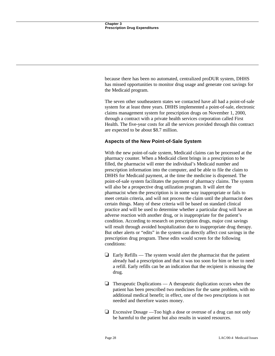because there has been no automated, centralized proDUR system, DHHS has missed opportunities to monitor drug usage and generate cost savings for the Medicaid program.

The seven other southeastern states we contacted have all had a point-of-sale system for at least three years. DHHS implemented a point-of-sale, electronic claims management system for prescription drugs on November 1, 2000, through a contract with a private health services corporation called First Health. The five-year costs for all the services provided through this contract are expected to be about \$8.7 million.

# **Aspects of the New Point-of-Sale System**

With the new point-of-sale system, Medicaid claims can be processed at the pharmacy counter. When a Medicaid client brings in a prescription to be filled, the pharmacist will enter the individual's Medicaid number and prescription information into the computer, and be able to file the claim to DHHS for Medicaid payment, at the time the medicine is dispensed. The point-of-sale system facilitates the payment of pharmacy claims. The system will also be a prospective drug utilization program. It will alert the pharmacist when the prescription is in some way inappropriate or fails to meet certain criteria, and will not process the claim until the pharmacist does certain things. Many of these criteria will be based on standard clinical practice and will be used to determine whether a particular drug will have an adverse reaction with another drug, or is inappropriate for the patient's condition. According to research on prescription drugs, major cost savings will result through avoided hospitalization due to inappropriate drug therapy. But other alerts or "edits" in the system can directly affect cost savings in the prescription drug program. These edits would screen for the following conditions:

- $\Box$  Early Refills The system would alert the pharmacist that the patient already had a prescription and that it was too soon for him or her to need a refill. Early refills can be an indication that the recipient is misusing the drug.
- $\Box$  Therapeutic Duplications A therapeutic duplication occurs when the patient has been prescribed two medicines for the same problem, with no additional medical benefit; in effect, one of the two prescriptions is not needed and therefore wastes money.
- $\Box$  Excessive Dosage —Too high a dose or overuse of a drug can not only be harmful to the patient but also results in wasted resources.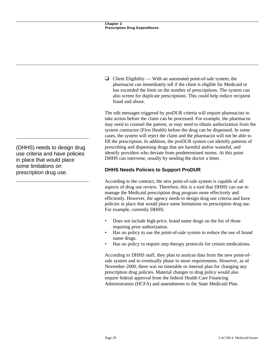$\Box$  Client Eligibility — With an automated point-of-sale system, the pharmacist can immediately tell if the client is eligible for Medicaid or has exceeded the limit on the number of prescriptions. The system can also screen for duplicate prescriptions. This could help reduce recipient fraud and abuse.

The edit messages triggered by proDUR criteria will require pharmacists to take action before the claim can be processed. For example, the pharmacist may need to counsel the patient, or may need to obtain authorization from the system contractor (First Health) before the drug can be dispensed. In some cases, the system will reject the claim and the pharmacist will not be able to fill the prescription. In addition, the proDUR system can identify patterns of prescribing and dispensing drugs that are harmful and/or wasteful, and identify providers who deviate from predetermined norms. At this point DHHS can intervene, usually by sending the doctor a letter.

# **DHHS Needs Policies to Support ProDUR**

According to the contract, the new point-of-sale system is capable of all aspects of drug use review. Therefore, this is a tool that DHHS can use to manage the Medicaid prescription drug program more effectively and efficiently. However, the agency needs to design drug use criteria and have policies in place that would place some limitations on prescription drug use. For example, currently DHHS:

- Does not include high-price, brand name drugs on the list of those requiring prior authorization.
- Has no policy to use the point-of-sale system to reduce the use of brand name drugs.
- Has no policy to require step therapy protocols for certain medications.

According to DHHS staff, they plan to analyze data from the new point-ofsale system and to eventually phase in more requirements. However, as of November 2000, there was no timetable or internal plan for changing any prescription drug policies. Material changes to drug policy would also require federal approval from the federal Health Care Financing Administration (HCFA) and amendments to the State Medicaid Plan.

(DHHS) needs to design drug use criteria and have policies in place that would place some limitations on prescription drug use.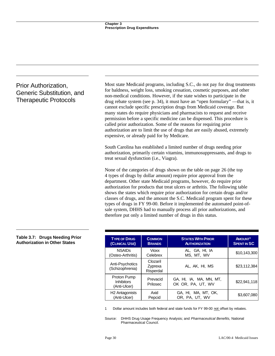# Prior Authorization, Generic Substitution, and Therapeutic Protocols

Most state Medicaid programs, including S.C., do not pay for drug treatments for baldness, weight loss, smoking cessation, cosmetic purposes, and other non-medical conditions. However, if the state wishes to participate in the drug rebate system (see p. 34), it must have an "open formulary" —that is, it cannot exclude specific prescription drugs from Medicaid coverage. But many states do require physicians and pharmacists to request and receive permission before a specific medicine can be dispensed. This procedure is called prior authorization. Some of the reasons for requiring prior authorization are to limit the use of drugs that are easily abused, extremely expensive, or already paid for by Medicare.

South Carolina has established a limited number of drugs needing prior authorization, primarily certain vitamins, immunosuppressants, and drugs to treat sexual dysfunction (i.e., Viagra).

None of the categories of drugs shown on the table on page 26 (the top 4 types of drugs by dollar amount) require prior approval from the department. Other state Medicaid programs, however, do require prior authorization for products that treat ulcers or arthritis. The following table shows the states which require prior authorization for certain drugs and/or classes of drugs, and the amount the S.C. Medicaid program spent for these types of drugs in FY 99-00. Before it implemented the automated point-ofsale system, DHHS had to manually process all prior authorizations, and therefore put only a limited number of drugs in this status.

| <b>TYPE OF DRUG</b>                              | <b>COMMON</b>                    | <b>STATES WITH PRIOR</b>                     | <b>AMOUNT<sup>1</sup></b> |
|--------------------------------------------------|----------------------------------|----------------------------------------------|---------------------------|
| (CLINICAL USE)                                   | <b>BRANDS</b>                    | <b>AUTHORIZATION</b>                         | <b>SPENT IN SC</b>        |
| <b>NSAIDs</b>                                    | Vioxx                            | AL, GA, HI, IA                               | \$10,143,300              |
| (Osteo-Arthritis)                                | Celebrex                         | MS, MT, WV                                   |                           |
| Anti-Psychotics<br>(Schizophrenia)               | Clozaril<br>Zyprexa<br>Risperdal | AL, AK, HI, MS                               | \$23,112,384              |
| Proton Pump<br><b>Inhibitors</b><br>(Anti-Ulcer) | Prevacid<br>Prilosec             | GA, HI, IA, MA, MN, MT,<br>OK OR, PA, UT, WV | \$22,941,118              |
| H <sub>2</sub> Antagonists                       | Axid                             | GA, HI, MA, MT, OK,                          | \$3,607,080               |
| (Anti-Ulcer)                                     | Pepcid                           | OR, PA, UT, WV                               |                           |

1 Dollar amount includes both federal and state funds for FY 99-00 not offset by rebates.

Source: DHHS Drug Usage Frequency Analysis; and *Pharmaceutical Benefits,* National Pharmaceutical Council.

#### **Table 3.7: Drugs Needing Prior Authorization in Other States**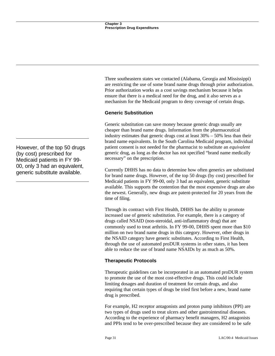Three southeastern states we contacted (Alabama, Georgia and Mississippi) are restricting the use of some brand name drugs through prior authorization. Prior authorization works as a cost savings mechanism because it helps ensure that there is a medical need for the drug, and it also serves as a mechanism for the Medicaid program to deny coverage of certain drugs.

# **Generic Substitution**

Generic substitution can save money because generic drugs usually are cheaper than brand name drugs. Information from the pharmaceutical industry estimates that generic drugs cost at least 30% – 50% less than their brand name equivalents. In the South Carolina Medicaid program, individual patient consent is not needed for the pharmacist to substitute an *equivalent* generic drug, as long as the doctor has not specified "brand name medically necessary" on the prescription.

Currently DHHS has no data to determine how often generics are substituted for brand name drugs. However, of the top 50 drugs (by cost) prescribed for Medicaid patients in FY 99-00, only 3 had an equivalent, generic substitute available. This supports the contention that the most expensive drugs are also the newest. Generally, new drugs are patent-protected for 20 years from the time of filing.

Through its contract with First Health, DHHS has the ability to promote increased use of generic substitution. For example, there is a category of drugs called NSAID (non-steroidal, anti-inflammatory drug) that are commonly used to treat arthritis. In FY 99-00, DHHS spent more than \$10 million on two brand name drugs in this category. However, other drugs in the NSAID category have generic substitutes. According to First Health, through the use of automated proDUR systems in other states, it has been able to reduce the use of brand name NSAIDs by as much as 50%.

# **Therapeutic Protocols**

Therapeutic guidelines can be incorporated in an automated proDUR system to promote the use of the most cost-effective drugs. This could include limiting dosages and duration of treatment for certain drugs, and also requiring that certain types of drugs be tried first before a new, brand name drug is prescribed.

For example, H2 receptor antagonists and proton pump inhibitors (PPI) are two types of drugs used to treat ulcers and other gastrointestinal diseases. According to the experience of pharmacy benefit managers, H2 antagonists and PPIs tend to be over-prescribed because they are considered to be safe

However, of the top 50 drugs (by cost) prescribed for Medicaid patients in FY 99- 00, only 3 had an equivalent, generic substitute available.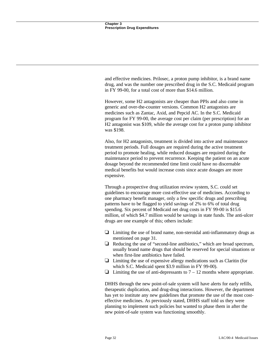and effective medicines. Prilosec, a proton pump inhibitor, is a brand name drug, and was the number one prescribed drug in the S.C. Medicaid program in FY 99-00, for a total cost of more than \$14.6 million.

However, some H2 antagonists are cheaper than PPIs and also come in generic and over-the-counter versions. Common H2 antagonists are medicines such as Zantac, Axid, and Pepcid AC. In the S.C. Medicaid program for FY 99-00, the average cost per claim (per prescription) for an H2 antagonist was \$109, while the average cost for a proton pump inhibitor was \$198.

Also, for H2 antagonists, treatment is divided into active and maintenance treatment periods. Full dosages are required during the active treatment period to promote healing, while reduced dosages are required during the maintenance period to prevent recurrence. Keeping the patient on an acute dosage beyond the recommended time limit could have no discernable medical benefits but would increase costs since acute dosages are more expensive.

Through a prospective drug utilization review system, S.C. could set guidelines to encourage more cost-effective use of medicines. According to one pharmacy benefit manager, only a few specific drugs and prescribing patterns have to be flagged to yield savings of 2% to 6% of total drug spending. Six percent of Medicaid net drug costs in FY 99-00 is \$15.6 million, of which \$4.7 million would be savings in state funds. The anti-ulcer drugs are one example of this; others include:

- $\Box$  Limiting the use of brand name, non-steroidal anti-inflammatory drugs as mentioned on page 31.
- $\Box$  Reducing the use of "second-line antibiotics," which are broad spectrum, usually brand name drugs that should be reserved for special situations or when first-line antibiotics have failed.
- $\Box$  Limiting the use of expensive allergy medications such as Claritin (for which S.C. Medicaid spent \$3.9 million in FY 99-00).
- $\Box$  Limiting the use of anti-depressants to 7 12 months where appropriate.

DHHS through the new point-of-sale system will have alerts for early refills, therapeutic duplication, and drug-drug interactions. However, the department has yet to institute any new guidelines that promote the use of the most costeffective medicines. As previously stated, DHHS staff told us they were planning to implement such policies but wanted to phase them in after the new point-of-sale system was functioning smoothly.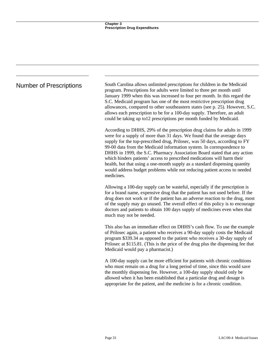Number of Prescriptions South Carolina allows unlimited prescriptions for children in the Medicaid program. Prescriptions for adults were limited to three per month until January 1999 when this was increased to four per month. In this regard the S.C. Medicaid program has one of the most restrictive prescription drug allowances, compared to other southeastern states (see p. 25). However, S.C. allows each prescription to be for a 100-day supply. Therefore, an adult could be taking up to12 prescriptions per month funded by Medicaid.

> According to DHHS, 29% of the prescription drug claims for adults in 1999 were for a supply of more than 31 days. We found that the average days supply for the top-prescribed drug, Prilosec, was 50 days, according to FY 99-00 data from the Medicaid information system. In correspondence to DHHS in 1999, the S.C. Pharmacy Association Board stated that any action which hinders patients' access to prescribed medications will harm their health, but that using a one-month supply as a standard dispensing quantity would address budget problems while not reducing patient access to needed medicines.

Allowing a 100-day supply can be wasteful, especially if the prescription is for a brand name, expensive drug that the patient has not used before. If the drug does not work or if the patient has an adverse reaction to the drug, most of the supply may go unused. The overall effect of this policy is to encourage doctors and patients to obtain 100 days supply of medicines even when that much may not be needed.

This also has an immediate effect on DHHS's cash flow. To use the example of Prilosec again, a patient who receives a 90-day supply costs the Medicaid program \$339.34 as opposed to the patient who receives a 30-day supply of Prilosec at \$115.81. (This is the price of the drug plus the dispensing fee that Medicaid would pay a pharmacist.)

A 100-day supply can be more efficient for patients with chronic conditions who must remain on a drug for a long period of time, since this would save the monthly dispensing fee. However, a 100-day supply should only be allowed when it has been established that a particular drug and dosage is appropriate for the patient, and the medicine is for a chronic condition.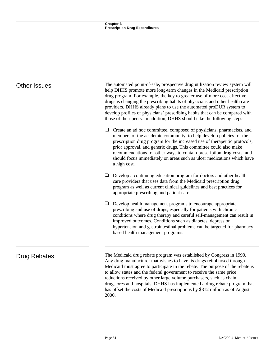| <b>Other Issues</b> | The automated point-of-sale, prospective drug utilization review system will<br>help DHHS promote more long-term changes in the Medicaid prescription<br>drug program. For example, the key to greater use of more cost-effective<br>drugs is changing the prescribing habits of physicians and other health care<br>providers. DHHS already plans to use the automated proDUR system to<br>develop profiles of physicians' prescribing habits that can be compared with<br>those of their peers. In addition, DHHS should take the following steps: |
|---------------------|------------------------------------------------------------------------------------------------------------------------------------------------------------------------------------------------------------------------------------------------------------------------------------------------------------------------------------------------------------------------------------------------------------------------------------------------------------------------------------------------------------------------------------------------------|
|                     | Create an ad hoc committee, composed of physicians, pharmacists, and<br>❏<br>members of the academic community, to help develop policies for the<br>prescription drug program for the increased use of therapeutic protocols,<br>prior approval, and generic drugs. This committee could also make<br>recommendations for other ways to contain prescription drug costs, and<br>should focus immediately on areas such as ulcer medications which have<br>a high cost.                                                                               |
|                     | Develop a continuing education program for doctors and other health<br>care providers that uses data from the Medicaid prescription drug<br>program as well as current clinical guidelines and best practices for<br>appropriate prescribing and patient care.                                                                                                                                                                                                                                                                                       |
|                     | Develop health management programs to encourage appropriate<br>⊔<br>prescribing and use of drugs, especially for patients with chronic<br>conditions where drug therapy and careful self-management can result in<br>improved outcomes. Conditions such as diabetes, depression,<br>hypertension and gastrointestinal problems can be targeted for pharmacy-<br>based health management programs.                                                                                                                                                    |
| Drug Rebates        | The Medicaid drug rebate program was established by Congress in 1990.<br>Any drug manufacturer that wishes to have its drugs reimbursed through<br>Medicaid must agree to participate in the rebate. The purpose of the rebate is                                                                                                                                                                                                                                                                                                                    |

to allow states and the federal government to receive the same price reductions received by other large volume purchasers, such as chain

drugstores and hospitals. DHHS has implemented a drug rebate program that has offset the costs of Medicaid prescriptions by \$312 million as of August

2000.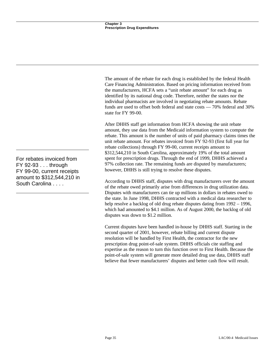The amount of the rebate for each drug is established by the federal Health Care Financing Administration. Based on pricing information received from the manufacturers, HCFA sets a "unit rebate amount" for each drug as identified by its national drug code. Therefore, neither the states nor the individual pharmacists are involved in negotiating rebate amounts. Rebate funds are used to offset both federal and state costs — 70% federal and 30% state for FY 99-00.

After DHHS staff get information from HCFA showing the unit rebate amount, they use data from the Medicaid information system to compute the rebate. This amount is the number of units of paid pharmacy claims times the unit rebate amount. For rebates invoiced from FY 92-93 (first full year for rebate collections) through FY 99-00, current receipts amount to \$312,544,210 in South Carolina, approximately 19% of the total amount spent for prescription drugs. Through the end of 1999, DHHS achieved a 97% collection rate. The remaining funds are disputed by manufacturers; however, DHHS is still trying to resolve these disputes.

According to DHHS staff, disputes with drug manufacturers over the amount of the rebate owed primarily arise from differences in drug utilization data. Disputes with manufacturers can tie up millions in dollars in rebates owed to the state. In June 1998, DHHS contracted with a medical data researcher to help resolve a backlog of old drug rebate disputes dating from 1992 – 1996, which had amounted to \$4.1 million. As of August 2000, the backlog of old disputes was down to \$1.2 million.

Current disputes have been handled in-house by DHHS staff. Starting in the second quarter of 2001, however, rebate billing and current dispute resolution will be handled by First Health, the contractor for the new prescription drug point-of-sale system. DHHS officials cite staffing and expertise as the reason to turn this function over to First Health. Because the point-of-sale system will generate more detailed drug use data, DHHS staff believe that fewer manufacturers' disputes and better cash flow will result.

For rebates invoiced from FY 92-93 . . . through FY 99-00, current receipts amount to \$312,544,210 in South Carolina . . . .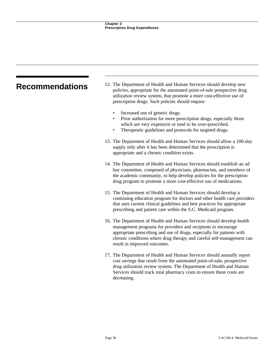# **Recommendations** 12. The Department of Health and Human Services should develop new policies, appropriate for the automated point-of-sale prospective drug utilization review system, that promote a more cost-effective use of prescription drugs. Such policies should require: Increased use of generic drugs. • Prior authorization for more prescription drugs, especially those which are very expensive or tend to be over-prescribed. Therapeutic guidelines and protocols for targeted drugs. 13. The Department of Health and Human Services should allow a 100-day supply only after it has been determined that the prescription is appropriate and a chronic condition exists. 14. The Department of Health and Human Services should establish an ad hoc committee, composed of physicians, pharmacists, and members of the academic community, to help develop policies for the prescription drug program to promote a more cost-effective use of medications. 15. The Department of Health and Human Services should develop a continuing education program for doctors and other health care providers that uses current clinical guidelines and best practices for appropriate prescribing and patient care within the S.C. Medicaid program. 16. The Department of Health and Human Services should develop health management programs for providers and recipients to encourage appropriate prescribing and use of drugs, especially for patients with chronic conditions where drug therapy and careful self-management can result in improved outcomes. 17. The Department of Health and Human Services should annually report cost savings that result from the automated point-of-sale, prospective drug utilization review system. The Department of Health and Human

Services should track total pharmacy costs to ensure these costs are

decreasing.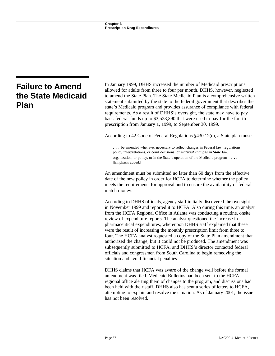# **Failure to Amend the State Medicaid Plan**

In January 1999, DHHS increased the number of Medicaid prescriptions allowed for adults from three to four per month. DHHS, however, neglected to amend the State Plan. The State Medicaid Plan is a comprehensive written statement submitted by the state to the federal government that describes the state's Medicaid program and provides assurance of compliance with federal requirements. As a result of DHHS's oversight, the state may have to pay back federal funds up to \$3,528,390 that were used to pay for the fourth prescription from January 1, 1999, to September 30, 1999.

According to 42 Code of Federal Regulations §430.12(c), a State plan must:

. . . be amended whenever necessary to reflect changes in Federal law, regulations, policy interpretations, or court decisions; or *material changes in State law*, organization, or policy, or in the State's operation of the Medicaid program . . . . [Emphasis added.]

An amendment must be submitted no later than 60 days from the effective date of the new policy in order for HCFA to determine whether the policy meets the requirements for approval and to ensure the availability of federal match money.

According to DHHS officials, agency staff initially discovered the oversight in November 1999 and reported it to HCFA. Also during this time, an analyst from the HCFA Regional Office in Atlanta was conducting a routine, onsite review of expenditure reports. The analyst questioned the increase in pharmaceutical expenditures, whereupon DHHS staff explained that these were the result of increasing the monthly prescription limit from three to four. The HCFA analyst requested a copy of the State Plan amendment that authorized the change, but it could not be produced. The amendment was subsequently submitted to HCFA, and DHHS's director contacted federal officials and congressmen from South Carolina to begin remedying the situation and avoid financial penalties.

DHHS claims that HCFA was aware of the change well before the formal amendment was filed. Medicaid Bulletins had been sent to the HCFA regional office alerting them of changes to the program, and discussions had been held with their staff. DHHS also has sent a series of letters to HCFA, attempting to explain and resolve the situation. As of January 2001, the issue has not been resolved.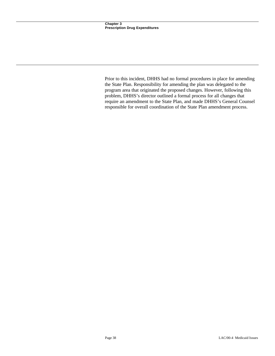Prior to this incident, DHHS had no formal procedures in place for amending the State Plan. Responsibility for amending the plan was delegated to the program area that originated the proposed changes. However, following this problem, DHHS's director outlined a formal process for all changes that require an amendment to the State Plan, and made DHHS's General Counsel responsible for overall coordination of the State Plan amendment process.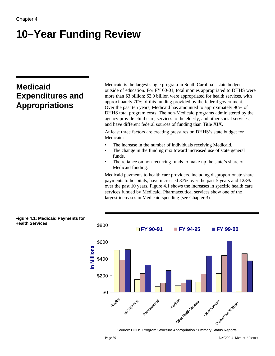# **10–Year Funding Review**

# **Medicaid Expenditures and Appropriations**

**Health Services**

Medicaid is the largest single program in South Carolina's state budget outside of education. For FY 00-01, total monies appropriated to DHHS were more than \$3 billion; \$2.9 billion were appropriated for health services, with approximately 70% of this funding provided by the federal government. Over the past ten years, Medicaid has amounted to approximately 96% of DHHS total program costs. The non-Medicaid programs administered by the agency provide child care, services to the elderly, and other social services, and have different federal sources of funding than Title XIX.

At least three factors are creating pressures on DHHS's state budget for Medicaid:

- The increase in the number of individuals receiving Medicaid.
- The change in the funding mix toward increased use of state general funds.
- The reliance on non-recurring funds to make up the state's share of Medicaid funding.

Medicaid payments to health care providers, including disproportionate share payments to hospitals, have increased 37% over the past 5 years and 128% over the past 10 years. Figure 4.1 shows the increases in specific health care services funded by Medicaid. Pharmaceutical services show one of the largest increases in Medicaid spending (see Chapter 3).



Source: DHHS Program Structure Appropriation Summary Status Reports.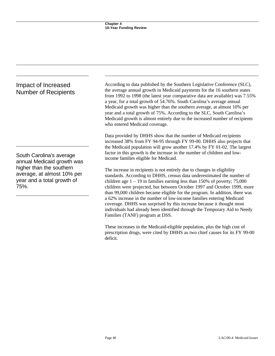| According to data published by the Southern Legislative Conference (SLC),<br>the average annual growth in Medicaid payments for the 16 southern states<br>from 1992 to 1998 (the latest year comparative data are available) was 7.55%<br>a year, for a total growth of 54.76%. South Carolina's average annual<br>Medicaid growth was higher than the southern average, at almost 10% per<br>year and a total growth of 75%. According to the SLC, South Carolina's<br>Medicaid growth is almost entirely due to the increased number of recipients<br>who entered Medicaid coverage. |  |  |
|----------------------------------------------------------------------------------------------------------------------------------------------------------------------------------------------------------------------------------------------------------------------------------------------------------------------------------------------------------------------------------------------------------------------------------------------------------------------------------------------------------------------------------------------------------------------------------------|--|--|
| Data provided by DHHS show that the number of Medicaid recipients<br>increased 38% from FY 94-95 through FY 99-00. DHHS also projects that<br>the Medicaid population will grow another 17.4% by FY 01-02. The largest<br>factor in this growth is the increase in the number of children and low-<br>income families eligible for Medicaid.                                                                                                                                                                                                                                           |  |  |
| The increase in recipients is not entirely due to changes in eligibility<br>standards. According to DHHS, census data underestimated the number of<br>children age $1 - 19$ in families earning less than 150% of poverty; 75,000<br>children were projected, but between October 1997 and October 1999, more<br>than 99,000 children became eligible for the program. In addition, there was<br>a 62% increase in the number of low-income families entering Medicaid                                                                                                                 |  |  |
|                                                                                                                                                                                                                                                                                                                                                                                                                                                                                                                                                                                        |  |  |

Families (TANF) program at DSS.

coverage. DHHS was surprised by this increase because it thought most individuals had already been identified through the Temporary Aid to Needy

These increases in the Medicaid-eligible population, plus the high cost of prescription drugs, were cited by DHHS as two chief causes for its FY 99-00

deficit.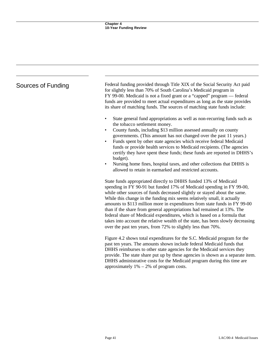| Sources of Funding | Federal funding provided through Title XIX of the Social Security Act paid<br>for slightly less than 70% of South Carolina's Medicaid program in<br>FY 99-00. Medicaid is not a fixed grant or a "capped" program — federal<br>funds are provided to meet actual expenditures as long as the state provides<br>its share of matching funds. The sources of matching state funds include:                                                                                                                                                                                                                                                                                                  |  |  |
|--------------------|-------------------------------------------------------------------------------------------------------------------------------------------------------------------------------------------------------------------------------------------------------------------------------------------------------------------------------------------------------------------------------------------------------------------------------------------------------------------------------------------------------------------------------------------------------------------------------------------------------------------------------------------------------------------------------------------|--|--|
|                    | State general fund appropriations as well as non-recurring funds such as<br>the tobacco settlement money.<br>County funds, including \$13 million assessed annually on county<br>governments. (This amount has not changed over the past 11 years.)<br>Funds spent by other state agencies which receive federal Medicaid<br>funds or provide health services to Medicaid recipients. (The agencies<br>certify they have spent these funds; these funds are reported in DHHS's<br>budget).<br>Nursing home fines, hospital taxes, and other collections that DHHS is<br>allowed to retain in earmarked and restricted accounts.                                                           |  |  |
|                    | State funds appropriated directly to DHHS funded 13% of Medicaid<br>spending in FY 90-91 but funded 17% of Medicaid spending in FY 99-00,<br>while other sources of funds decreased slightly or stayed about the same.<br>While this change in the funding mix seems relatively small, it actually<br>amounts to \$113 million more in expenditures from state funds in FY 99-00<br>than if the share from general appropriations had remained at 13%. The<br>federal share of Medicaid expenditures, which is based on a formula that<br>takes into account the relative wealth of the state, has been slowly decreasing<br>over the past ten years, from 72% to slightly less than 70%. |  |  |
|                    | Figure 4.2 shows total expenditures for the S.C. Medicaid program for the<br>past ten years. The amounts shown include federal Medicaid funds that<br>DHHS reimburses to other state agencies for the Medicaid services they<br>provide. The state share put up by these agencies is shown as a separate item.<br>DHHS administrative costs for the Medicaid program during this time are<br>approximately $1\% - 2\%$ of program costs.                                                                                                                                                                                                                                                  |  |  |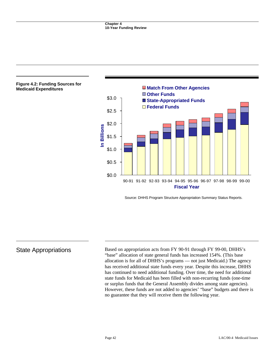

Source: DHHS Program Structure Appropriation Summary Status Reports.

State Appropriations Based on appropriation acts from FY 90-91 through FY 99-00, DHHS's "base" allocation of state general funds has increased 154%. (This base allocation is for all of DHHS's programs — not just Medicaid.) The agency has received additional state funds every year. Despite this increase, DHHS has continued to need additional funding. Over time, the need for additional state funds for Medicaid has been filled with non-recurring funds (one-time or surplus funds that the General Assembly divides among state agencies). However, these funds are not added to agencies' "base" budgets and there is no guarantee that they will receive them the following year.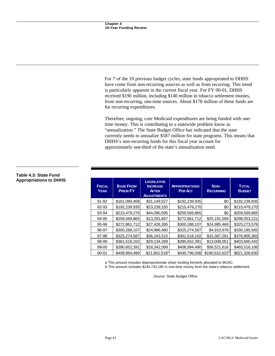For 7 of the 10 previous budget cycles, state funds appropriated to DHHS have come from non-recurring sources as well as from recurring. This trend is particularly apparent in the current fiscal year. For FY 00-01, DHHS received \$190 million, including \$140 million in tobacco settlement monies, from non-recurring, one-time sources. About \$178 million of these funds are for recurring expenditures.

Therefore, ongoing, core Medicaid expenditures are being funded with onetime money. This is contributing to a statewide problem know as "annualization." The State Budget Office has indicated that the state currently needs to annualize \$587 million for state programs. This means that DHHS's non-recurring funds for this fiscal year account for approximately one-third of the state's annualization need.

| <b>FISCAL</b><br><b>YEAR</b> | <b>BASE FROM</b><br><b>PRIOR FY</b> | <b>LEGISLATIVE</b><br><b>INCREASE</b><br><b>AFTER</b><br><b>ADJUSTMENTS</b> | <b>APPROPRIATIONS</b><br><b>PER ACT</b> | NON-<br><b>RECURRING</b>   | <b>TOTAL</b><br><b>BUDGET</b> |
|------------------------------|-------------------------------------|-----------------------------------------------------------------------------|-----------------------------------------|----------------------------|-------------------------------|
| 91-92                        | \$161,090,408                       | \$31,149,527                                                                | \$192,239,935                           | \$0                        | \$192,239,935                 |
| 92-93                        | \$192,239,935                       | \$23,239,335                                                                | \$215,479,270                           | \$0                        | \$215,479,270                 |
| 93-94                        | \$215,479,270                       | \$44,090,595                                                                | \$259,569,865                           | \$0                        | \$259,569,865                 |
| 94-95                        | \$259,569,865                       | \$13,291,847                                                                | \$272,861,712                           | \$25,191,509               | \$298,053,221                 |
| 95-96                        | \$272,861,712                       | \$27,426,395                                                                | \$300,288,107                           | \$24,985,469               | \$325,273,576                 |
| 96-97                        | \$300,288,107                       | \$24,986,480                                                                | \$325,274,587                           | \$4,910,978                | \$330,185,565                 |
| 97-98                        | \$325,274,587                       | \$36,243,515                                                                | \$361,518,102                           | \$15,387,281               | \$376,905,383                 |
| 98-99                        | \$361,518,102                       | \$29,134,289                                                                | \$390,652,391                           | \$13,008,051               | \$403,660,442                 |
| 99-00                        | \$390,652,391                       | \$18,342,099                                                                | \$408,994,490                           | \$56,521,616               | \$465,516,106                 |
| $00 - 01$                    | \$408,994,490                       | $$21,801,518^a$                                                             | \$430,796,008                           | \$190,532,622 <sup>b</sup> | \$621,328,630                 |

## **Table 4.3: State Fund Appropriations to DHHS**

a This amount includes disproportionate share funding formerly allocated to MUSC.

b This amount includes \$140,732,185 in one-time money from the state's tobacco settlement.

Source: State Budget Office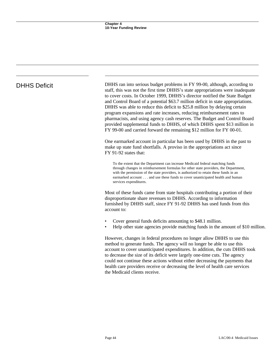DHHS Deficit DHHS ran into serious budget problems in FY 99-00, although, according to staff, this was not the first time DHHS's state appropriations were inadequate to cover costs. In October 1999, DHHS's director notified the State Budget and Control Board of a potential \$63.7 million deficit in state appropriations. DHHS was able to reduce this deficit to \$25.8 million by delaying certain program expansions and rate increases, reducing reimbursement rates to pharmacists, and using agency cash reserves. The Budget and Control Board provided supplemental funds to DHHS, of which DHHS spent \$13 million in FY 99-00 and carried forward the remaining \$12 million for FY 00-01.

> One earmarked account in particular has been used by DHHS in the past to make up state fund shortfalls. A proviso in the appropriations act since FY 91-92 states that:

To the extent that the Department can increase Medicaid federal matching funds through changes in reimbursement formulas for other state providers, the Department, with the permission of the state providers, is authorized to retain these funds in an earmarked account . . . and use these funds to cover unanticipated health and human services expenditures.

Most of these funds came from state hospitals contributing a portion of their disproportionate share revenues to DHHS. According to information furnished by DHHS staff, since FY 91-92 DHHS has used funds from this account to:

- Cover general funds deficits amounting to \$48.1 million.
- Help other state agencies provide matching funds in the amount of \$10 million.

However, changes in federal procedures no longer allow DHHS to use this method to generate funds. The agency will no longer be able to use this account to cover unanticipated expenditures. In addition, the cuts DHHS took to decrease the size of its deficit were largely one-time cuts. The agency could not continue these actions without either decreasing the payments that health care providers receive or decreasing the level of health care services the Medicaid clients receive.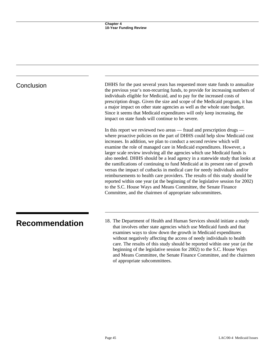| Conclusion            | DHHS for the past several years has requested more state funds to annualize<br>the previous year's non-recurring funds, to provide for increasing numbers of<br>individuals eligible for Medicaid, and to pay for the increased costs of<br>prescription drugs. Given the size and scope of the Medicaid program, it has<br>a major impact on other state agencies as well as the whole state budget.<br>Since it seems that Medicaid expenditures will only keep increasing, the<br>impact on state funds will continue to be severe.                                                                                                                                                                                                                                                                                                                                                                                                |
|-----------------------|---------------------------------------------------------------------------------------------------------------------------------------------------------------------------------------------------------------------------------------------------------------------------------------------------------------------------------------------------------------------------------------------------------------------------------------------------------------------------------------------------------------------------------------------------------------------------------------------------------------------------------------------------------------------------------------------------------------------------------------------------------------------------------------------------------------------------------------------------------------------------------------------------------------------------------------|
|                       | In this report we reviewed two areas — fraud and prescription drugs —<br>where proactive policies on the part of DHHS could help slow Medicaid cost<br>increases. In addition, we plan to conduct a second review which will<br>examine the role of managed care in Medicaid expenditures. However, a<br>larger scale review involving all the agencies which use Medicaid funds is<br>also needed. DHHS should be a lead agency in a statewide study that looks at<br>the ramifications of continuing to fund Medicaid at its present rate of growth<br>versus the impact of cutbacks in medical care for needy individuals and/or<br>reimbursements to health care providers. The results of this study should be<br>reported within one year (at the beginning of the legislative session for 2002)<br>to the S.C. House Ways and Means Committee, the Senate Finance<br>Committee, and the chairmen of appropriate subcommittees. |
| <b>Recommendation</b> | 18. The Department of Health and Human Services should initiate a study<br>that involves other state agencies which use Medicaid funds and that<br>examines ways to slow down the growth in Medicaid expenditures<br>without negatively affecting the access of needy individuals to health<br>care. The results of this study should be reported within one year (at the<br>beginning of the legislative session for 2002) to the S.C. House Ways<br>and Means Committee, the Senate Finance Committee, and the chairmen<br>of appropriate subcommittees.                                                                                                                                                                                                                                                                                                                                                                            |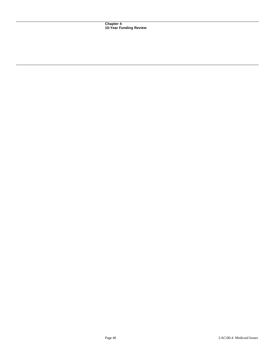**Chapter 4 10-Year Funding Review**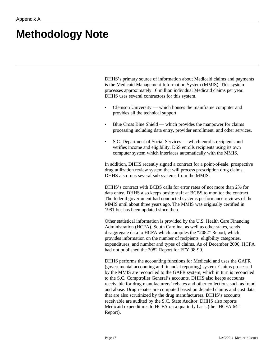# **Methodology Note**

DHHS's primary source of information about Medicaid claims and payments is the Medicaid Management Information System (MMIS). This system processes approximately 16 million individual Medicaid claims per year. DHHS uses several contractors for this system.

- Clemson University which houses the mainframe computer and provides all the technical support.
- Blue Cross Blue Shield which provides the manpower for claims processing including data entry, provider enrollment, and other services.
- S.C. Department of Social Services which enrolls recipients and verifies income and eligibility. DSS enrolls recipients using its own computer system which interfaces automatically with the MMIS.

In addition, DHHS recently signed a contract for a point-of-sale, prospective drug utilization review system that will process prescription drug claims. DHHS also runs several sub-systems from the MMIS.

DHHS's contract with BCBS calls for error rates of not more than 2% for data entry. DHHS also keeps onsite staff at BCBS to monitor the contract. The federal government had conducted systems performance reviews of the MMIS until about three years ago. The MMIS was originally certified in 1981 but has been updated since then.

Other statistical information is provided by the U.S. Health Care Financing Administration (HCFA). South Carolina, as well as other states, sends disaggregate data to HCFA which compiles the "2082" Report, which provides information on the number of recipients, eligibility categories, expenditures, and number and types of claims. As of December 2000, HCFA had not published the 2082 Report for FFY 98-99.

DHHS performs the accounting functions for Medicaid and uses the GAFR (governmental accounting and financial reporting) system. Claims processed by the MMIS are reconciled to the GAFR system, which in turn is reconciled to the S.C. Comptroller General's accounts. DHHS also keeps accounts receivable for drug manufacturers' rebates and other collections such as fraud and abuse. Drug rebates are computed based on detailed claims and cost data that are also scrutinized by the drug manufacturers. DHHS's accounts receivable are audited by the S.C. State Auditor. DHHS also reports Medicaid expenditures to HCFA on a quarterly basis (the "HCFA 64" Report).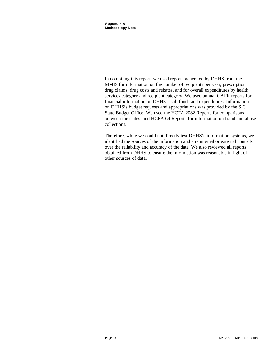In compiling this report, we used reports generated by DHHS from the MMIS for information on the number of recipients per year, prescription drug claims, drug costs and rebates, and for overall expenditures by health services category and recipient category. We used annual GAFR reports for financial information on DHHS's sub-funds and expenditures. Information on DHHS's budget requests and appropriations was provided by the S.C. State Budget Office. We used the HCFA 2082 Reports for comparisons between the states, and HCFA 64 Reports for information on fraud and abuse collections.

Therefore, while we could not directly test DHHS's information systems, we identified the sources of the information and any internal or external controls over the reliability and accuracy of the data. We also reviewed all reports obtained from DHHS to ensure the information was reasonable in light of other sources of data.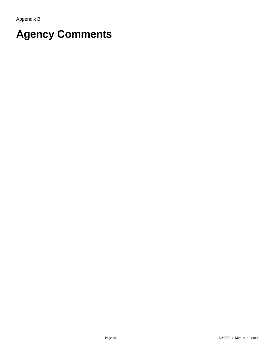# **Agency Comments**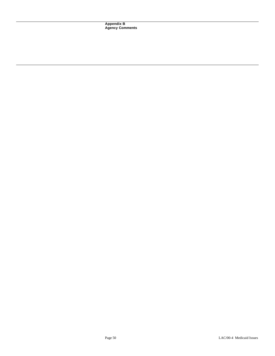**Appendix B Agency Comments**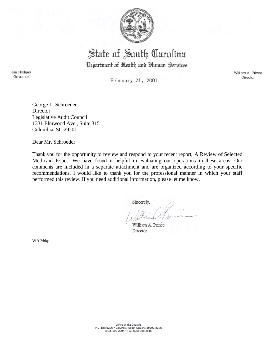

# State of South Carolina

Department of Health and Human Services

Jim Hodges Governor

February 21, 2001

William A. Prince Director

George L. Schroeder **Director** Legislative Audit Council 1331 Elmwood Ave., Suite 315 Columbia, SC 29201

Dear Mr. Schroeder:

Thank you for the opportunity to review and respond to your recent report, A Review of Selected Medicaid Issues. We have found it helpful in evaluating our operations in these areas. Our comments are included in a separate attachment and are organized according to your specific recommendations. I would like to thank you for the professional manner in which your staff performed this review. If you need additional information, please let me know.

Sincerely,

William A. Prince Director

WAP/bkp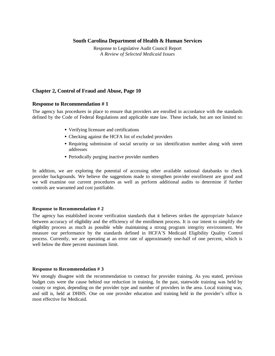# **South Carolina Department of Health & Human Services**

Response to Legislative Audit Council Report *A Review of Selected Medicaid Issues*

# **Chapter 2, Control of Fraud and Abuse, Page 10**

## **Response to Recommendation # 1**

The agency has procedures in place to ensure that providers are enrolled in accordance with the standards defined by the Code of Federal Regulations and applicable state law. These include, but are not limited to:

- Verifying licensure and certifications
- Checking against the HCFA list of excluded providers
- Requiring submission of social security or tax identification number along with street addresses
- Periodically purging inactive provider numbers

In addition, we are exploring the potential of accessing other available national databanks to check provider backgrounds. We believe the suggestions made to strengthen provider enrollment are good and we will examine our current procedures as well as perform additional audits to determine if further controls are warranted and cost justifiable.

### **Response to Recommendation # 2**

The agency has established income verification standards that it believes strikes the appropriate balance between accuracy of eligibility and the efficiency of the enrollment process. It is our intent to simplify the eligibility process as much as possible while maintaining a strong program integrity environment. We measure our performance by the standards defined in HCFA'S Medicaid Eligibility Quality Control process. Currently, we are operating at an error rate of approximately one-half of one percent, which is well below the three percent maximum limit.

### **Response to Recommendation # 3**

We strongly disagree with the recommendation to contract for provider training. As you stated, previous budget cuts were the cause behind our reduction in training. In the past, statewide training was held by county or region, depending on the provider type and number of providers in the area. Local training was, and still is, held at DHHS. One on one provider education and training held in the provider's office is most effective for Medicaid.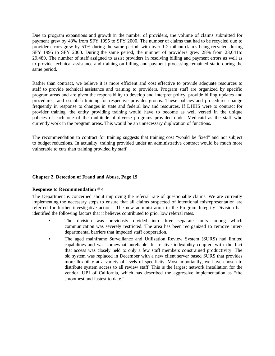Due to program expansions and growth in the number of providers, the volume of claims submitted for payment grew by 43% from SFY 1995 to SFY 2000. The number of claims that had to be recycled due to provider errors grew by 51% during the same period, with over 1.2 million claims being recycled during SFY 1995 to SFY 2000. During the same period, the number of providers grew 28% from 23,041to 29,480. The number of staff assigned to assist providers in resolving billing and payment errors as well as to provide technical assistance and training on billing and payment processing remained static during the same period.

Rather than contract, we believe it is more efficient and cost effective to provide adequate resources to staff to provide technical assistance and training to providers. Program staff are organized by specific program areas and are given the responsibility to develop and interpret policy, provide billing updates and procedures, and establish training for respective provider groups. These policies and procedures change frequently in response to changes in state and federal law and resources. If DHHS were to contract for provider training, the entity providing training would have to become as well versed in the unique policies of each one of the multitude of diverse programs provided under Medicaid as the staff who currently work in the program areas. This would be an unnecessary duplication of functions.

The recommendation to contract for training suggests that training cost "would be fixed" and not subject to budget reductions. In actuality, training provided under an administrative contract would be much more vulnerable to cuts than training provided by staff.

# **Chapter 2, Detection of Fraud and Abuse, Page 19**

## **Response to Recommendation # 4**

The Department is concerned about improving the referral rate of questionable claims. We are currently implementing the necessary steps to ensure that all claims suspected of intentional misrepresentation are referred for further investigative action. The new administration in the Program Integrity Division has identified the following factors that it believes contributed to prior low referral rates.

- The division was previously divided into three separate units among which communication was severely restricted. The area has been reorganized to remove interdepartmental barriers that impeded staff cooperation.
- The aged mainframe Surveillance and Utilization Review System (SURS) had limited capabilities and was somewhat unreliable. Its relative inflexibility coupled with the fact that access was closely held to only a few staff members constrained productivity. The old system was replaced in December with a new client server based SURS that provides more flexibility at a variety of levels of specificity. Most importantly, we have chosen to distribute system access to all review staff. This is the largest network installation for the vendor, UPI of California, which has described the aggressive implementation as "the smoothest and fastest to date."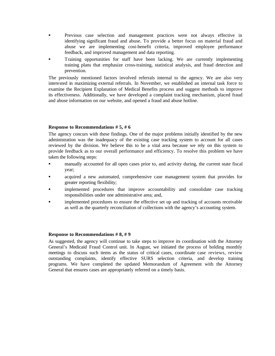- Previous case selection and management practices were not always effective in identifying significant fraud and abuse. To provide a better focus on material fraud and abuse we are implementing cost-benefit criteria, improved employee performance feedback, and improved management and data reporting.
- Training opportunities for staff have been lacking. We are currently implementing training plans that emphasize cross-training, statistical analysis, and fraud detection and prevention.

The previously mentioned factors involved referrals internal to the agency. We are also very interested in maximizing external referrals. In November, we established an internal task force to examine the Recipient Explanation of Medical Benefits process and suggest methods to improve its effectiveness. Additionally, we have developed a complaint tracking mechanism, placed fraud and abuse information on our website, and opened a fraud and abuse hotline.

## **Response to Recommendations # 5, # 6**

The agency concurs with these findings. One of the major problems initially identified by the new administration was the inadequacy of the existing case tracking system to account for all cases reviewed by the division. We believe this to be a vital area because we rely on this system to provide feedback as to our overall performance and efficiency. To resolve this problem we have taken the following steps:

- manually accounted for all open cases prior to, and activity during, the current state fiscal year;
- acquired a new automated, comprehensive case management system that provides for greater reporting flexibility;
- implemented procedures that improve accountability and consolidate case tracking responsibilities under one administrative area; and,
- implemented procedures to ensure the effective set up and tracking of accounts receivable as well as the quarterly reconciliation of collections with the agency's accounting system.

## **Response to Recommendations # 8, # 9**

As suggested, the agency will continue to take steps to improve its coordination with the Attorney General's Medicaid Fraud Control unit. In August, we initiated the process of holding monthly meetings to discuss such items as the status of critical cases, coordinate case reviews, review outstanding complaints, identify effective SURS selection criteria, and develop training programs. We have completed the updated Memorandum of Agreement with the Attorney General that ensures cases are appropriately referred on a timely basis.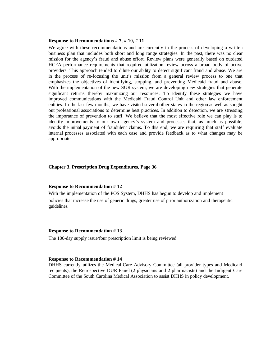### **Response to Recommendations # 7, # 10, # 11**

We agree with these recommendations and are currently in the process of developing a written business plan that includes both short and long range strategies. In the past, there was no clear mission for the agency's fraud and abuse effort. Review plans were generally based on outdated HCFA performance requirements that required utilization review across a broad body of active providers. This approach tended to dilute our ability to detect significant fraud and abuse. We are in the process of re-focusing the unit's mission from a general review process to one that emphasizes the objectives of identifying, stopping, and preventing Medicaid fraud and abuse. With the implementation of the new SUR system, we are developing new strategies that generate significant returns thereby maximizing our resources. To identify these strategies we have improved communications with the Medicaid Fraud Control Unit and other law enforcement entities. In the last few months, we have visited several other states in the region as well as sought out professional associations to determine best practices. In addition to detection, we are stressing the importance of prevention to staff. We believe that the most effective role we can play is to identify improvements to our own agency's system and processes that, as much as possible, avoids the initial payment of fraudulent claims. To this end, we are requiring that staff evaluate internal processes associated with each case and provide feedback as to what changes may be appropriate.

### **Chapter 3, Prescription Drug Expenditures, Page 36**

## **Response to Recommendation # 12**

With the implementation of the POS System, DHHS has begun to develop and implement policies that increase the use of generic drugs, greater use of prior authorization and therapeutic guidelines.

### **Response to Recommendation # 13**

The 100-day supply issue/four prescription limit is being reviewed.

## **Response to Recommendation # 14**

DHHS currently utilizes the Medical Care Advisory Committee (all provider types and Medicaid recipients), the Retrospective DUR Panel (2 physicians and 2 pharmacists) and the Indigent Care Committee of the South Carolina Medical Association to assist DHHS in policy development.